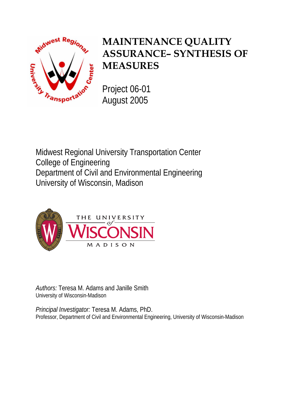<span id="page-0-0"></span>

# **MAINTENANCE QUALITY ASSURANCE– SYNTHESIS OF MEASURES**

Project 06-01 August 2005

Midwest Regional University Transportation Center College of Engineering Department of Civil and Environmental Engineering University of Wisconsin, Madison



*Authors:* Teresa M. Adams and Janille Smith University of Wisconsin-Madison

*Principal Investigator:* Teresa M. Adams, PhD. Professor, Department of Civil and Environmental Engineering, University of Wisconsin-Madison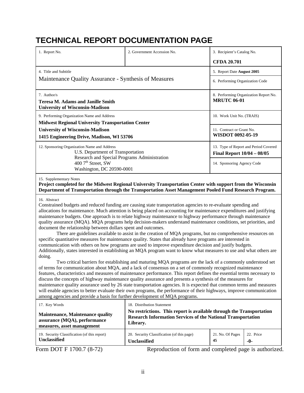## <span id="page-1-0"></span>**TECHNICAL REPORT DOCUMENTATION PAGE**

| 1. Report No.                                                                                                                                                                                                                                                                                                                                                                                                                                                                                                                                                                                                                                                                                                                                                                                                                                                                                                                                                                                                                                                                                                                                                                                                                                                                                                                                                                                                                                                                                                                                                                                                   | 2. Government Accession No.                                                                                                                                                                                               | 3. Recipient's Catalog No.      |                                       |  |  |  |  |  |  |
|-----------------------------------------------------------------------------------------------------------------------------------------------------------------------------------------------------------------------------------------------------------------------------------------------------------------------------------------------------------------------------------------------------------------------------------------------------------------------------------------------------------------------------------------------------------------------------------------------------------------------------------------------------------------------------------------------------------------------------------------------------------------------------------------------------------------------------------------------------------------------------------------------------------------------------------------------------------------------------------------------------------------------------------------------------------------------------------------------------------------------------------------------------------------------------------------------------------------------------------------------------------------------------------------------------------------------------------------------------------------------------------------------------------------------------------------------------------------------------------------------------------------------------------------------------------------------------------------------------------------|---------------------------------------------------------------------------------------------------------------------------------------------------------------------------------------------------------------------------|---------------------------------|---------------------------------------|--|--|--|--|--|--|
|                                                                                                                                                                                                                                                                                                                                                                                                                                                                                                                                                                                                                                                                                                                                                                                                                                                                                                                                                                                                                                                                                                                                                                                                                                                                                                                                                                                                                                                                                                                                                                                                                 |                                                                                                                                                                                                                           | <b>CFDA 20.701</b>              |                                       |  |  |  |  |  |  |
| 4. Title and Subtitle                                                                                                                                                                                                                                                                                                                                                                                                                                                                                                                                                                                                                                                                                                                                                                                                                                                                                                                                                                                                                                                                                                                                                                                                                                                                                                                                                                                                                                                                                                                                                                                           |                                                                                                                                                                                                                           | 5. Report Date August 2005      |                                       |  |  |  |  |  |  |
| Maintenance Quality Assurance - Synthesis of Measures                                                                                                                                                                                                                                                                                                                                                                                                                                                                                                                                                                                                                                                                                                                                                                                                                                                                                                                                                                                                                                                                                                                                                                                                                                                                                                                                                                                                                                                                                                                                                           |                                                                                                                                                                                                                           | 6. Performing Organization Code |                                       |  |  |  |  |  |  |
| 7. Author/s<br><b>Teresa M. Adams and Janille Smith</b><br><b>University of Wisconsin-Madison</b>                                                                                                                                                                                                                                                                                                                                                                                                                                                                                                                                                                                                                                                                                                                                                                                                                                                                                                                                                                                                                                                                                                                                                                                                                                                                                                                                                                                                                                                                                                               |                                                                                                                                                                                                                           | <b>MRUTC 06-01</b>              | 8. Performing Organization Report No. |  |  |  |  |  |  |
| 9. Performing Organization Name and Address                                                                                                                                                                                                                                                                                                                                                                                                                                                                                                                                                                                                                                                                                                                                                                                                                                                                                                                                                                                                                                                                                                                                                                                                                                                                                                                                                                                                                                                                                                                                                                     |                                                                                                                                                                                                                           | 10. Work Unit No. (TRAIS)       |                                       |  |  |  |  |  |  |
| <b>Midwest Regional University Transportation Center</b>                                                                                                                                                                                                                                                                                                                                                                                                                                                                                                                                                                                                                                                                                                                                                                                                                                                                                                                                                                                                                                                                                                                                                                                                                                                                                                                                                                                                                                                                                                                                                        |                                                                                                                                                                                                                           |                                 |                                       |  |  |  |  |  |  |
| <b>University of Wisconsin-Madison</b><br>1415 Engineering Drive, Madison, WI 53706                                                                                                                                                                                                                                                                                                                                                                                                                                                                                                                                                                                                                                                                                                                                                                                                                                                                                                                                                                                                                                                                                                                                                                                                                                                                                                                                                                                                                                                                                                                             | 11. Contract or Grant No.<br>WISDOT 0092-05-19                                                                                                                                                                            |                                 |                                       |  |  |  |  |  |  |
| 12. Sponsoring Organization Name and Address                                                                                                                                                                                                                                                                                                                                                                                                                                                                                                                                                                                                                                                                                                                                                                                                                                                                                                                                                                                                                                                                                                                                                                                                                                                                                                                                                                                                                                                                                                                                                                    | U.S. Department of Transportation                                                                                                                                                                                         |                                 |                                       |  |  |  |  |  |  |
| 400 7 <sup>th</sup> Street, SW                                                                                                                                                                                                                                                                                                                                                                                                                                                                                                                                                                                                                                                                                                                                                                                                                                                                                                                                                                                                                                                                                                                                                                                                                                                                                                                                                                                                                                                                                                                                                                                  | Research and Special Programs Administration<br>Washington, DC 20590-0001                                                                                                                                                 |                                 |                                       |  |  |  |  |  |  |
| 15. Supplementary Notes<br>Project completed for the Midwest Regional University Transportation Center with support from the Wisconsin<br>Department of Transportation through the Transportation Asset Management Pooled Fund Research Program.                                                                                                                                                                                                                                                                                                                                                                                                                                                                                                                                                                                                                                                                                                                                                                                                                                                                                                                                                                                                                                                                                                                                                                                                                                                                                                                                                                |                                                                                                                                                                                                                           |                                 |                                       |  |  |  |  |  |  |
| 16. Abstract<br>Constrained budgets and reduced funding are causing state transportation agencies to re-evaluate spending and<br>allocations for maintenance. Much attention is being placed on accounting for maintenance expenditures and justifying<br>maintenance budgets. One approach is to relate highway maintenance to highway performance through maintenance<br>quality assurance (MQA). MQA programs help decision-makers understand maintenance conditions, set priorities, and<br>document the relationship between dollars spent and outcomes.<br>specific quantitative measures for maintenance quality. States that already have programs are interested in<br>communication with others on how programs are used to improve expenditure decision and justify budgets.<br>Additionally, states interested in establishing an MQA program want to know what measures to use and what others are<br>doing.<br>of terms for communication about MQA, and a lack of consensus on a set of commonly recognized maintenance<br>features, characteristics and measures of maintenance performance. This report defines the essential terms necessary to<br>discuss the concepts of highway maintenance quality assurance and presents a synthesis of the measures for<br>maintenance quality assurance used by 26 state transportation agencies. It is expected that common terms and measures<br>will enable agencies to better evaluate their own programs, the performance of their highways, improve communication<br>among agencies and provide a basis for further development of MQA programs. | There are guidelines available to assist in the creation of MQA programs, but no comprehensive resources on<br>Two critical barriers for establishing and maturing MQA programs are the lack of a commonly understood set |                                 |                                       |  |  |  |  |  |  |
| 17. Key Words<br><b>Maintenance, Maintenance quality</b><br>assurance (MQA), performance<br>measures, asset management                                                                                                                                                                                                                                                                                                                                                                                                                                                                                                                                                                                                                                                                                                                                                                                                                                                                                                                                                                                                                                                                                                                                                                                                                                                                                                                                                                                                                                                                                          | 18. Distribution Statement<br>No restrictions. This report is available through the Transportation<br><b>Research Information Services of the National Transportation</b><br>Library.                                     |                                 |                                       |  |  |  |  |  |  |
| 19. Security Classification (of this report)<br><b>Unclassified</b>                                                                                                                                                                                                                                                                                                                                                                                                                                                                                                                                                                                                                                                                                                                                                                                                                                                                                                                                                                                                                                                                                                                                                                                                                                                                                                                                                                                                                                                                                                                                             | 20. Security Classification (of this page)<br>Unclassified                                                                                                                                                                | 21. No. Of Pages<br>45          | 22. Price<br>-0-                      |  |  |  |  |  |  |

Form DOT F 1700.7 (8-72) Reproduction of form and completed page is authorized.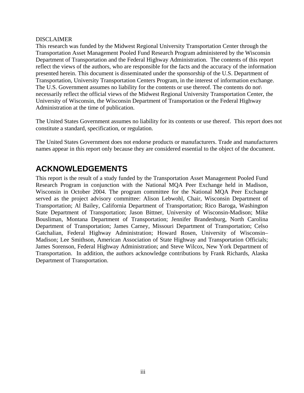#### <span id="page-2-0"></span>DISCLAIMER

This research was funded by the Midwest Regional University Transportation Center through the Transportation Asset Management Pooled Fund Research Program administered by the Wisconsin Department of Transportation and the Federal Highway Administration. The contents of this report reflect the views of the authors, who are responsible for the facts and the accuracy of the information presented herein. This document is disseminated under the sponsorship of the U.S. Department of Transportation, University Transportation Centers Program, in the interest of information exchange. The U.S. Government assumes no liability for the contents or use thereof. The contents do not\ necessarily reflect the official views of the Midwest Regional University Transportation Center, the University of Wisconsin, the Wisconsin Department of Transportation or the Federal Highway Administration at the time of publication.

The United States Government assumes no liability for its contents or use thereof. This report does not constitute a standard, specification, or regulation.

The United States Government does not endorse products or manufacturers. Trade and manufacturers names appear in this report only because they are considered essential to the object of the document.

### **ACKNOWLEDGEMENTS**

This report is the result of a study funded by the Transportation Asset Management Pooled Fund Research Program in conjunction with the National MQA Peer Exchange held in Madison, Wisconsin in October 2004. The program committee for the National MQA Peer Exchange served as the project advisory committee: Alison Lebwohl, Chair, Wisconsin Department of Transportation; Al Bailey, California Department of Transportation; Rico Baroga, Washington State Department of Transportation; Jason Bittner, University of Wisconsin-Madison; Mike Bousliman, Montana Department of Transportation; Jennifer Brandenburg, North Carolina Department of Transportation; James Carney, Missouri Department of Transportation; Celso Gatchalian, Federal Highway Administration; Howard Rosen, University of Wisconsin– Madison; Lee Smithson, American Association of State Highway and Transportation Officials; James Sorenson, Federal Highway Administration; and Steve Wilcox, New York Department of Transportation. In addition, the authors acknowledge contributions by Frank Richards, Alaska Department of Transportation.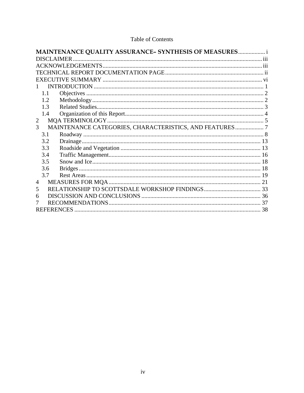| MAINTENANCE QUALITY ASSURANCE- SYNTHESIS OF MEASURES i                     |
|----------------------------------------------------------------------------|
| <b>DISCLAIMER</b>                                                          |
|                                                                            |
|                                                                            |
|                                                                            |
|                                                                            |
| 1.1                                                                        |
| 1.2                                                                        |
| 1.3                                                                        |
| 1.4                                                                        |
| $\overline{2}$                                                             |
| MAINTENANCE CATEGORIES, CHARACTERISTICS, AND FEATURES  7<br>$\overline{3}$ |
| 3.1                                                                        |
| 3.2                                                                        |
| 3.3                                                                        |
| 3.4                                                                        |
| 3.5                                                                        |
| 3.6                                                                        |
| 3.7                                                                        |
| 4                                                                          |
| 5                                                                          |
| 6                                                                          |
|                                                                            |
|                                                                            |

#### Table of Contents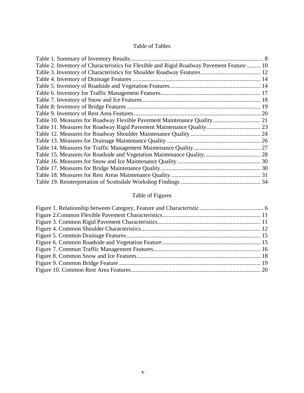#### Table of Tables

| Table 2. Inventory of Characteristics for Flexible and Rigid Roadway Pavement Feature  10 |  |
|-------------------------------------------------------------------------------------------|--|
|                                                                                           |  |
|                                                                                           |  |
|                                                                                           |  |
|                                                                                           |  |
|                                                                                           |  |
|                                                                                           |  |
|                                                                                           |  |
| Table 10. Measures for Roadway Flexible Pavement Maintenance Quality 21                   |  |
|                                                                                           |  |
|                                                                                           |  |
|                                                                                           |  |
|                                                                                           |  |
|                                                                                           |  |
|                                                                                           |  |
|                                                                                           |  |
|                                                                                           |  |
|                                                                                           |  |

### Table of Figures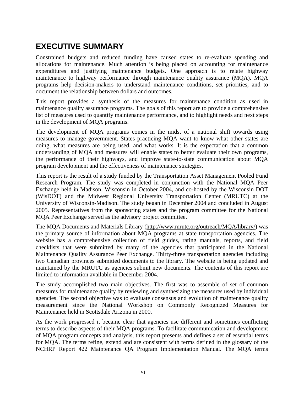## <span id="page-5-0"></span>**EXECUTIVE SUMMARY**

Constrained budgets and reduced funding have caused states to re-evaluate spending and allocations for maintenance. Much attention is being placed on accounting for maintenance expenditures and justifying maintenance budgets. One approach is to relate highway maintenance to highway performance through maintenance quality assurance (MQA). MQA programs help decision-makers to understand maintenance conditions, set priorities, and to document the relationship between dollars and outcomes.

This report provides a synthesis of the measures for maintenance condition as used in maintenance quality assurance programs. The goals of this report are to provide a comprehensive list of measures used to quantify maintenance performance, and to highlight needs and next steps in the development of MQA programs.

The development of MQA programs comes in the midst of a national shift towards using measures to manage government. States practicing MQA want to know what other states are doing, what measures are being used, and what works. It is the expectation that a common understanding of MQA and measures will enable states to better evaluate their own programs, the performance of their highways, and improve state-to-state communication about MQA program development and the effectiveness of maintenance strategies.

This report is the result of a study funded by the Transportation Asset Management Pooled Fund Research Program. The study was completed in conjunction with the National MQA Peer Exchange held in Madison, Wisconsin in October 2004, and co-hosted by the Wisconsin DOT (WisDOT) and the Midwest Regional University Transportation Center (MRUTC) at the University of Wisconsin-Madison. The study began in December 2004 and concluded in August 2005. Representatives from the sponsoring states and the program committee for the National MQA Peer Exchange served as the advisory project committee.

The MQA Documents and Materials Library (<http://www.mrutc.org/outreach/MQA/library/>) was the primary source of information about MQA programs at state transportation agencies. The website has a comprehensive collection of field guides, rating manuals, reports, and field checklists that were submitted by many of the agencies that participated in the National Maintenance Quality Assurance Peer Exchange. Thirty-three transportation agencies including two Canadian provinces submitted documents to the library. The website is being updated and maintained by the MRUTC as agencies submit new documents. The contents of this report are limited to information available in December 2004.

The study accomplished two main objectives. The first was to assemble of set of common measures for maintenance quality by reviewing and synthesizing the measures used by individual agencies. The second objective was to evaluate consensus and evolution of maintenance quality measurement since the National Workshop on Commonly Recognized Measures for Maintenance held in Scottsdale Arizona in 2000.

As the work progressed it became clear that agencies use different and sometimes conflicting terms to describe aspects of their MQA programs. To facilitate communication and development of MQA program concepts and analysis, this report presents and defines a set of essential terms for MQA. The terms refine, extend and are consistent with terms defined in the glossary of the NCHRP Report 422 Maintenance QA Program Implementation Manual. The MQA terms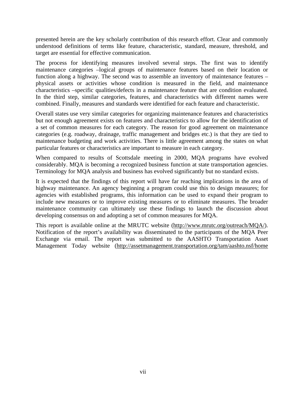presented herein are the key scholarly contribution of this research effort. Clear and commonly understood definitions of terms like feature, characteristic, standard, measure, threshold, and target are essential for effective communication.

The process for identifying measures involved several steps. The first was to identify maintenance categories –logical groups of maintenance features based on their location or function along a highway. The second was to assemble an inventory of maintenance features – physical assets or activities whose condition is measured in the field, and maintenance characteristics –specific qualities/defects in a maintenance feature that are condition evaluated. In the third step, similar categories, features, and characteristics with different names were combined. Finally, measures and standards were identified for each feature and characteristic.

Overall states use very similar categories for organizing maintenance features and characteristics but not enough agreement exists on features and characteristics to allow for the identification of a set of common measures for each category. The reason for good agreement on maintenance categories (e.g. roadway, drainage, traffic management and bridges etc.) is that they are tied to maintenance budgeting and work activities. There is little agreement among the states on what particular features or characteristics are important to measure in each category.

When compared to results of Scottsdale meeting in 2000, MQA programs have evolved considerably. MQA is becoming a recognized business function at state transportation agencies. Terminology for MQA analysis and business has evolved significantly but no standard exists.

It is expected that the findings of this report will have far reaching implications in the area of highway maintenance. An agency beginning a program could use this to design measures; for agencies with established programs, this information can be used to expand their program to include new measures or to improve existing measures or to eliminate measures. The broader maintenance community can ultimately use these findings to launch the discussion about developing consensus on and adopting a set of common measures for MQA.

This report is available online at the MRUTC website [\(http://www.mrutc.org/outreach/MQA/](http://www.mrutc.org/outreach/MQA/)). Notification of the report's availability was disseminated to the participants of the MQA Peer Exchange via email. The report was submitted to the AASHTO Transportation Asset Management Today website [\(http://assetmanagement.transportation.org/tam/aashto.nsf/home](http://assetmanagement.transportation.org/tam/aashto.nsf/home)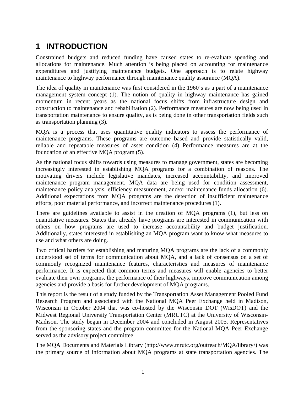## <span id="page-7-0"></span>**1 INTRODUCTION**

Constrained budgets and reduced funding have caused states to re-evaluate spending and allocations for maintenance. Much attention is being placed on accounting for maintenance expenditures and justifying maintenance budgets. One approach is to relate highway maintenance to highway performance through maintenance quality assurance (MQA).

The idea of quality in maintenance was first considered in the 1960's as a part of a maintenance management system concept (1). The notion of quality in highway maintenance has gained momentum in recent years as the national focus shifts from infrastructure design and construction to maintenance and rehabilitation (2). Performance measures are now being used in transportation maintenance to ensure quality, as is being done in other transportation fields such as transportation planning (3).

MQA is a process that uses quantitative quality indicators to assess the performance of maintenance programs. These programs are outcome based and provide statistically valid, reliable and repeatable measures of asset condition (4) Performance measures are at the foundation of an effective MQA program (5).

As the national focus shifts towards using measures to manage government, states are becoming increasingly interested in establishing MQA programs for a combination of reasons. The motivating drivers include legislative mandates, increased accountability, and improved maintenance program management. MQA data are being used for condition assessment, maintenance policy analysis, efficiency measurement, and/or maintenance funds allocation (6). Additional expectations from MQA programs are the detection of insufficient maintenance efforts, poor material performance, and incorrect maintenance procedures (1).

There are guidelines available to assist in the creation of MQA programs (1), but less on quantitative measures. States that already have programs are interested in communication with others on how programs are used to increase accountability and budget justification. Additionally, states interested in establishing an MQA program want to know what measures to use and what others are doing.

Two critical barriers for establishing and maturing MQA programs are the lack of a commonly understood set of terms for communication about MQA, and a lack of consensus on a set of commonly recognized maintenance features, characteristics and measures of maintenance performance. It is expected that common terms and measures will enable agencies to better evaluate their own programs, the performance of their highways, improve communication among agencies and provide a basis for further development of MQA programs.

This report is the result of a study funded by the Transportation Asset Management Pooled Fund Research Program and associated with the National MQA Peer Exchange held in Madison, Wisconsin in October 2004 that was co-hosted by the Wisconsin DOT (WisDOT) and the Midwest Regional University Transportation Center (MRUTC) at the University of Wisconsin-Madison. The study began in December 2004 and concluded in August 2005. Representatives from the sponsoring states and the program committee for the National MQA Peer Exchange served as the advisory project committee.

The MQA Documents and Materials Library (<http://www.mrutc.org/outreach/MQA/library/>) was the primary source of information about MQA programs at state transportation agencies. The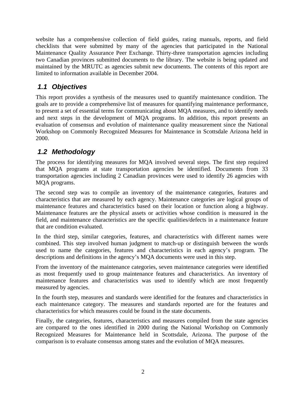<span id="page-8-0"></span>website has a comprehensive collection of field guides, rating manuals, reports, and field checklists that were submitted by many of the agencies that participated in the National Maintenance Quality Assurance Peer Exchange. Thirty-three transportation agencies including two Canadian provinces submitted documents to the library. The website is being updated and maintained by the MRUTC as agencies submit new documents. The contents of this report are limited to information available in December 2004.

### *1.1 Objectives*

This report provides a synthesis of the measures used to quantify maintenance condition. The goals are to provide a comprehensive list of measures for quantifying maintenance performance, to present a set of essential terms for communicating about MQA measures, and to identify needs and next steps in the development of MQA programs. In addition, this report presents an evaluation of consensus and evolution of maintenance quality measurement since the National Workshop on Commonly Recognized Measures for Maintenance in Scottsdale Arizona held in 2000.

### *1.2 Methodology*

The process for identifying measures for MQA involved several steps. The first step required that MQA programs at state transportation agencies be identified. Documents from 33 transportation agencies including 2 Canadian provinces were used to identify 26 agencies with MQA programs.

The second step was to compile an inventory of the maintenance categories, features and characteristics that are measured by each agency. Maintenance categories are logical groups of maintenance features and characteristics based on their location or function along a highway. Maintenance features are the physical assets or activities whose condition is measured in the field, and maintenance characteristics are the specific qualities/defects in a maintenance feature that are condition evaluated.

In the third step, similar categories, features, and characteristics with different names were combined. This step involved human judgment to match-up or distinguish between the words used to name the categories, features and characteristics in each agency's program. The descriptions and definitions in the agency's MQA documents were used in this step.

From the inventory of the maintenance categories, seven maintenance categories were identified as most frequently used to group maintenance features and characteristics. An inventory of maintenance features and characteristics was used to identify which are most frequently measured by agencies.

In the fourth step, measures and standards were identified for the features and characteristics in each maintenance category. The measures and standards reported are for the features and characteristics for which measures could be found in the state documents.

Finally, the categories, features, characteristics and measures compiled from the state agencies are compared to the ones identified in 2000 during the National Workshop on Commonly Recognized Measures for Maintenance held in Scottsdale, Arizona. The purpose of the comparison is to evaluate consensus among states and the evolution of MQA measures.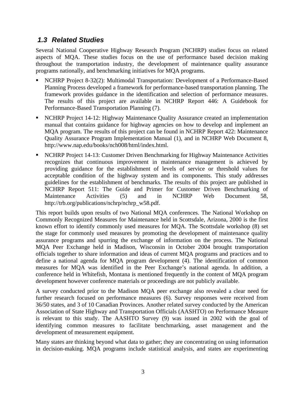#### <span id="page-9-0"></span>*1.3 Related Studies*

Several National Cooperative Highway Research Program (NCHRP) studies focus on related aspects of MQA. These studies focus on the use of performance based decision making throughout the transportation industry, the development of maintenance quality assurance programs nationally, and benchmarking initiatives for MQA programs.

- NCHRP Project 8-32(2): Multimodal Transportation: Development of a Performance-Based Planning Process developed a framework for performance-based transportation planning. The framework provides guidance in the identification and selection of performance measures. The results of this project are available in NCHRP Report 446: A Guidebook for Performance-Based Transportation Planning (7).
- NCHRP Project 14-12: Highway Maintenance Quality Assurance created an implementation manual that contains guidance for highway agencies on how to develop and implement an MQA program. The results of this project can be found in NCHRP Report 422: Maintenance Quality Assurance Program Implementation Manual (1), and in NCHRP Web Document 8, http://www.nap.edu/books/nch008/html/index.html.
- NCHRP Project 14-13: Customer Driven Benchmarking for Highway Maintenance Activities recognizes that continuous improvement in maintenance management is achieved by providing guidance for the establishment of levels of service or threshold values for acceptable condition of the highway system and its components. This study addresses guidelines for the establishment of benchmarks. The results of this project are published in NCHRP Report 511: The Guide and Primer for Customer Driven Benchmarking of Maintenance Activities (5) and in NCHRP Web Document 58, http://trb.org/publications/nchrp/nchrp\_w58.pdf.

This report builds upon results of two National MQA conferences. The National Workshop on Commonly Recognized Measures for Maintenance held in Scottsdale, Arizona, 2000 is the first known effort to identify commonly used measures for MQA. The Scottsdale workshop (8) set the stage for commonly used measures by promoting the development of maintenance quality assurance programs and spurring the exchange of information on the process. The National MQA Peer Exchange held in Madison, Wisconsin in October 2004 brought transportation officials together to share information and ideas of current MQA programs and practices and to define a national agenda for MQA program development (4). The identification of common measures for MQA was identified in the Peer Exchange's national agenda. In addition, a conference held in Whitefish, Montana is mentioned frequently in the content of MQA program development however conference materials or proceedings are not publicly available.

A survey conducted prior to the Madison MQA peer exchange also revealed a clear need for further research focused on performance measures (6). Survey responses were received from 36/50 states, and 3 of 10 Canadian Provinces. Another related survey conducted by the American Association of State Highway and Transportation Officials (AASHTO) on Performance Measure is relevant to this study. The AASHTO Survey (9) was issued in 2002 with the goal of identifying common measures to facilitate benchmarking, asset management and the development of measurement equipment.

Many states are thinking beyond what data to gather; they are concentrating on using information in decision-making. MQA programs include statistical analysis, and states are experimenting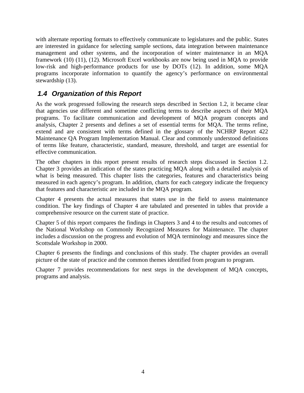<span id="page-10-0"></span>with alternate reporting formats to effectively communicate to legislatures and the public. States are interested in guidance for selecting sample sections, data integration between maintenance management and other systems, and the incorporation of winter maintenance in an MQA framework (10) (11), (12). Microsoft Excel workbooks are now being used in MQA to provide low-risk and high-performance products for use by DOTs (12). In addition, some MQA programs incorporate information to quantify the agency's performance on environmental stewardship (13).

### *1.4 Organization of this Report*

As the work progressed following the research steps described in Section 1.2, it became clear that agencies use different and sometime conflicting terms to describe aspects of their MQA programs. To facilitate communication and development of MQA program concepts and analysis, Chapter 2 presents and defines a set of essential terms for MQA. The terms refine, extend and are consistent with terms defined in the glossary of the NCHRP Report 422 Maintenance QA Program Implementation Manual. Clear and commonly understood definitions of terms like feature, characteristic, standard, measure, threshold, and target are essential for effective communication.

The other chapters in this report present results of research steps discussed in Section 1.2. Chapter 3 provides an indication of the states practicing MQA along with a detailed analysis of what is being measured. This chapter lists the categories, features and characteristics being measured in each agency's program. In addition, charts for each category indicate the frequency that features and characteristic are included in the MQA program.

Chapter 4 presents the actual measures that states use in the field to assess maintenance condition. The key findings of Chapter 4 are tabulated and presented in tables that provide a comprehensive resource on the current state of practice.

Chapter 5 of this report compares the findings in Chapters 3 and 4 to the results and outcomes of the National Workshop on Commonly Recognized Measures for Maintenance. The chapter includes a discussion on the progress and evolution of MQA terminology and measures since the Scottsdale Workshop in 2000.

Chapter 6 presents the findings and conclusions of this study. The chapter provides an overall picture of the state of practice and the common themes identified from program to program.

Chapter 7 provides recommendations for nest steps in the development of MQA concepts, programs and analysis.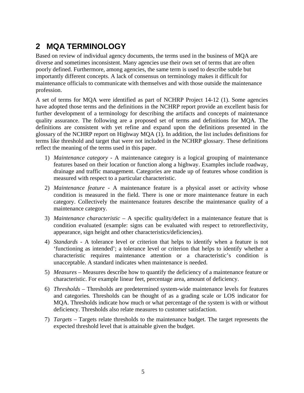## <span id="page-11-0"></span>**2 MQA TERMINOLOGY**

Based on review of individual agency documents, the terms used in the business of MQA are diverse and sometimes inconsistent. Many agencies use their own set of terms that are often poorly defined. Furthermore, among agencies, the same term is used to describe subtle but importantly different concepts. A lack of consensus on terminology makes it difficult for maintenance officials to communicate with themselves and with those outside the maintenance profession.

A set of terms for MQA were identified as part of NCHRP Project 14-12 (1). Some agencies have adopted those terms and the definitions in the NCHRP report provide an excellent basis for further development of a terminology for describing the artifacts and concepts of maintenance quality assurance. The following are a proposed set of terms and definitions for MQA. The definitions are consistent with yet refine and expand upon the definitions presented in the glossary of the NCHRP report on Highway MQA (1). In addition, the list includes definitions for terms like threshold and target that were not included in the NCHRP glossary. These definitions reflect the meaning of the terms used in this paper.

- 1) *Maintenance category* A maintenance category is a logical grouping of maintenance features based on their location or function along a highway. Examples include roadway, drainage and traffic management. Categories are made up of features whose condition is measured with respect to a particular characteristic.
- 2) *Maintenance feature* A maintenance feature is a physical asset or activity whose condition is measured in the field. There is one or more maintenance feature in each category. Collectively the maintenance features describe the maintenance quality of a maintenance category.
- 3) *Maintenance characteristic* A specific quality/defect in a maintenance feature that is condition evaluated (example: signs can be evaluated with respect to retroreflectivity, appearance, sign height and other characteristics/deficiencies).
- 4) *Standards*  A tolerance level or criterion that helps to identify when a feature is not 'functioning as intended'; a tolerance level or criterion that helps to identify whether a characteristic requires maintenance attention or a characteristic's condition is unacceptable. A standard indicates when maintenance is needed.
- 5) *Measures* Measures describe how to quantify the deficiency of a maintenance feature or characteristic. For example linear feet, percentage area, amount of deficiency.
- 6) *Thresholds* Thresholds are predetermined system-wide maintenance levels for features and categories. Thresholds can be thought of as a grading scale or LOS indicator for MQA. Thresholds indicate how much or what percentage of the system is with or without deficiency. Thresholds also relate measures to customer satisfaction.
- 7) *Targets* Targets relate thresholds to the maintenance budget. The target represents the expected threshold level that is attainable given the budget.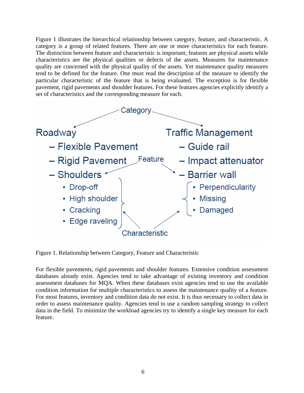<span id="page-12-0"></span>Figure 1 illustrates the hierarchical relationship between category, feature, and characteristic. A category is a group of related features. There are one or more characteristics for each feature. The distinction between feature and characteristic is important; features are physical assets while characteristics are the physical qualities or defects of the assets. Measures for maintenance quality are concerned with the physical quality of the assets. Yet maintenance quality measures tend to be defined for the feature. One must read the description of the measure to identify the particular characteristic of the feature that is being evaluated. The exception is for flexible pavement, rigid pavements and shoulder features. For these features agencies explicitly identify a set of characteristics and the corresponding measure for each.



Figure 1. Relationship between Category, Feature and Characteristic

For flexible pavements, rigid pavements and shoulder features. Extensive condition assessment databases already exist. Agencies tend to take advantage of existing inventory and condition assessment databases for MQA. When these databases exist agencies tend to use the available condition information for multiple characteristics to assess the maintenance quality of a feature. For most features, inventory and condition data do not exist. It is thus necessary to collect data in order to assess maintenance quality. Agencies tend to use a random sampling strategy to collect data in the field. To minimize the workload agencies try to identify a single key measure for each feature.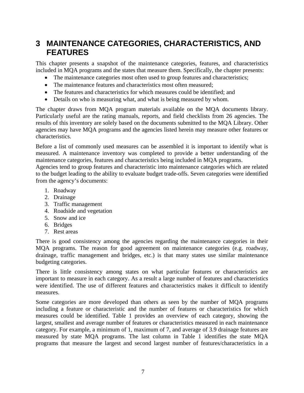### <span id="page-13-0"></span>**3 MAINTENANCE CATEGORIES, CHARACTERISTICS, AND FEATURES**

This chapter presents a snapshot of the maintenance categories, features, and characteristics included in MQA programs and the states that measure them. Specifically, the chapter presents:

- The maintenance categories most often used to group features and characteristics;
- The maintenance features and characteristics most often measured;
- The features and characteristics for which measures could be identified; and
- Details on who is measuring what, and what is being measured by whom.

The chapter draws from MQA program materials available on the MQA documents library. Particularly useful are the rating manuals, reports, and field checklists from 26 agencies. The results of this inventory are solely based on the documents submitted to the MQA Library. Other agencies may have MQA programs and the agencies listed herein may measure other features or characteristics.

Before a list of commonly used measures can be assembled it is important to identify what is measured. A maintenance inventory was completed to provide a better understanding of the maintenance categories, features and characteristics being included in MQA programs.

Agencies tend to group features and characteristic into maintenance categories which are related to the budget leading to the ability to evaluate budget trade-offs. Seven categories were identified from the agency's documents:

- 1. Roadway
- 2. Drainage
- 3. Traffic management
- 4. Roadside and vegetation
- 5. Snow and ice
- 6. Bridges
- 7. Rest areas

There is good consistency among the agencies regarding the maintenance categories in their MQA programs. The reason for good agreement on maintenance categories (e.g. roadway, drainage, traffic management and bridges, etc.) is that many states use similar maintenance budgeting categories.

There is little consistency among states on what particular features or characteristics are important to measure in each category. As a result a large number of features and characteristics were identified. The use of different features and characteristics makes it difficult to identify measures.

Some categories are more developed than others as seen by the number of MQA programs including a feature or characteristic and the number of features or characteristics for which measures could be identified. Table 1 provides an overview of each category, showing the largest, smallest and average number of features or characteristics measured in each maintenance category. For example, a minimum of 1, maximum of 7, and average of 3.9 drainage features are measured by state MQA programs. The last column in Table 1 identifies the state MQA programs that measure the largest and second largest number of features/characteristics in a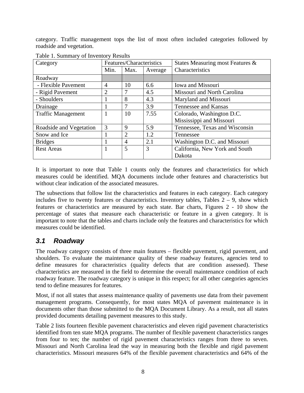<span id="page-14-0"></span>category. Traffic management tops the list of most often included categories followed by roadside and vegetation.

| Category                  |                | Features/Characteristics |         | States Measuring most Features & |
|---------------------------|----------------|--------------------------|---------|----------------------------------|
|                           | Min.           | Max.                     | Average | Characteristics                  |
| Roadway                   |                |                          |         |                                  |
| - Flexible Pavement       | 4              | 10                       | 6.6     | Iowa and Missouri                |
| - Rigid Pavement          | $\overline{2}$ |                          | 4.5     | Missouri and North Carolina      |
| - Shoulders               |                | 8                        | 4.3     | Maryland and Missouri            |
| Drainage                  |                |                          | 3.9     | Tennessee and Kansas             |
| <b>Traffic Management</b> |                | 10                       | 7.55    | Colorado, Washington D.C.        |
|                           |                |                          |         | Mississippi and Missouri         |
| Roadside and Vegetation   | 3              | 9                        | 5.9     | Tennessee, Texas and Wisconsin   |
| Snow and Ice              |                | 2                        | 1.2     | Tennessee                        |
| <b>Bridges</b>            |                | 4                        | 2.1     | Washington D.C. and Missouri     |
| <b>Rest Areas</b>         |                | 5                        | 3       | California, New York and South   |
|                           |                |                          |         | Dakota                           |

Table 1. Summary of Inventory Results

It is important to note that Table 1 counts only the features and characteristics for which measures could be identified. MQA documents include other features and characteristics but without clear indication of the associated measures.

The subsections that follow list the characteristics and features in each category. Each category includes five to twenty features or characteristics. Inventory tables, Tables  $2 - 9$ , show which features or characteristics are measured by each state. Bar charts, Figures 2 - 10 show the percentage of states that measure each characteristic or feature in a given category. It is important to note that the tables and charts include only the features and characteristics for which measures could be identified.

#### *3.1 Roadway*

The roadway category consists of three main features – flexible pavement, rigid pavement, and shoulders. To evaluate the maintenance quality of these roadway features, agencies tend to define measures for characteristics (quality defects that are condition assessed). These characteristics are measured in the field to determine the overall maintenance condition of each roadway feature. The roadway category is unique in this respect; for all other categories agencies tend to define measures for features.

Most, if not all states that assess maintenance quality of pavements use data from their pavement management programs. Consequently, for most states MQA of pavement maintenance is in documents other than those submitted to the MQA Document Library. As a result, not all states provided documents detailing pavement measures to this study.

[Table 2](#page-16-1) lists fourteen flexible pavement characteristics and eleven rigid pavement characteristics identified from ten state MQA programs. The number of flexible pavement characteristics ranges from four to ten; the number of rigid pavement characteristics ranges from three to seven. Missouri and North Carolina lead the way in measuring both the flexible and rigid pavement characteristics. Missouri measures 64% of the flexible pavement characteristics and 64% of the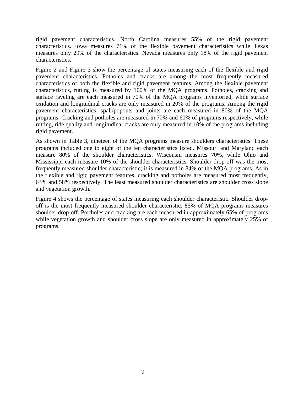rigid pavement characteristics. North Carolina measures 55% of the rigid pavement characteristics. Iowa measures 71% of the flexible pavement characteristics while Texas measures only 29% of the characteristics. Nevada measures only 18% of the rigid pavement characteristics.

[Figure 2](#page-17-1) and [Figure 3](#page-17-2) show the percentage of states measuring each of the flexible and rigid pavement characteristics. Potholes and cracks are among the most frequently measured characteristics of both the flexible and rigid pavement features. Among the flexible pavement characteristics, rutting is measured by 100% of the MQA programs. Potholes, cracking and surface raveling are each measured in 70% of the MQA programs inventoried, while surface oxidation and longitudinal cracks are only measured in 20% of the programs. Among the rigid pavement characteristics, spall/popouts and joints are each measured in 80% of the MQA programs. Cracking and potholes are measured in 70% and 60% of programs respectively, while rutting, ride quality and longitudinal cracks are only measured in 10% of the programs including rigid pavement.

As shown in [Table 3,](#page-18-1) nineteen of the MQA programs measure shoulders characteristics. These programs included one to eight of the ten characteristics listed. Missouri and Maryland each measure 80% of the shoulder characteristics. Wisconsin measures 70%, while Ohio and Mississippi each measure 10% of the shoulder characteristics. Shoulder drop-off was the most frequently measured shoulder characteristic; it is measured in 84% of the MQA programs. As in the flexible and rigid pavement features, cracking and potholes are measured most frequently, 63% and 58% respectively. The least measured shoulder characteristics are shoulder cross slope and vegetation growth.

Figure 4 shows the percentage of states measuring each shoulder characteristic. Shoulder dropoff is the most frequently measured shoulder characteristic; 85% of MQA programs measures shoulder drop-off. Portholes and cracking are each measured in approximately 65% of programs while vegetation growth and shoulder cross slope are only measured in approximately 25% of programs.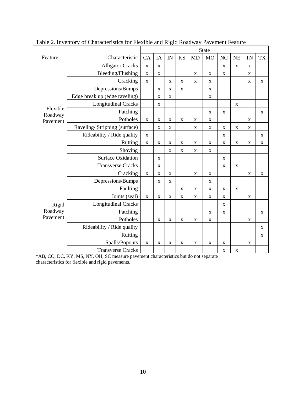|                     |                               |             |             |             |             |             | State       |                |             |             |             |
|---------------------|-------------------------------|-------------|-------------|-------------|-------------|-------------|-------------|----------------|-------------|-------------|-------------|
| Feature             | Characteristic                | CA          | IA          | IN          | <b>KS</b>   | <b>MD</b>   | <b>MO</b>   | N <sub>C</sub> | <b>NE</b>   | <b>TN</b>   | <b>TX</b>   |
|                     | <b>Alligator Cracks</b>       | $\mathbf X$ | $\mathbf X$ |             |             |             |             | $\mathbf X$    | $\mathbf X$ | $\mathbf X$ |             |
|                     | Bleeding/Flushing             | $\mathbf X$ | $\mathbf X$ |             |             | $\mathbf X$ | $\mathbf X$ | $\mathbf X$    |             | $\mathbf X$ |             |
|                     | Cracking                      | $\mathbf X$ |             | $\mathbf X$ | $\mathbf X$ | $\mathbf X$ | $\mathbf X$ |                |             | $\mathbf X$ | $\mathbf X$ |
|                     | Depressions/Bumps             |             | $\mathbf X$ | $\mathbf X$ | $\mathbf X$ |             | $\mathbf X$ |                |             |             |             |
|                     | Edge break up (edge raveling) |             | $\mathbf X$ | $\mathbf X$ |             |             | $\mathbf X$ |                |             |             |             |
|                     | <b>Longitudinal Cracks</b>    |             | $\mathbf X$ |             |             |             |             |                | $\mathbf X$ |             |             |
| Flexible<br>Roadway | Patching                      |             |             |             |             |             | $\mathbf X$ | $\mathbf X$    |             |             | $\mathbf X$ |
| Pavement            | Potholes                      | $\mathbf X$ | $\mathbf X$ | $\mathbf X$ | $\mathbf X$ | $\mathbf X$ | $\mathbf X$ |                |             | $\mathbf X$ |             |
|                     | Raveling/Stripping (surface)  |             | $\mathbf X$ | X           |             | $\mathbf X$ | $\mathbf X$ | $\mathbf X$    | $\mathbf X$ | $\mathbf X$ |             |
|                     | Rideability / Ride quality    | $\mathbf X$ |             |             |             |             |             | $\mathbf X$    |             |             | $\mathbf X$ |
|                     | Rutting                       | $\mathbf X$ | $\mathbf X$ | $\mathbf X$ | X           | $\mathbf X$ | $\mathbf X$ | $\mathbf X$    | $\mathbf X$ | $\mathbf X$ | $\mathbf X$ |
|                     | Shoving                       |             |             | $\mathbf X$ | $\mathbf X$ | $\mathbf X$ | $\mathbf X$ |                |             |             |             |
|                     | <b>Surface Oxidation</b>      |             | $\mathbf X$ |             |             |             |             | $\mathbf X$    |             |             |             |
|                     | <b>Transverse Cracks</b>      |             | $\mathbf X$ |             |             |             |             | $\mathbf X$    | $\mathbf X$ |             |             |
|                     | Cracking                      | $\mathbf X$ | $\mathbf X$ | $\mathbf X$ |             | $\mathbf X$ | $\mathbf X$ |                |             | $\mathbf X$ | $\mathbf X$ |
|                     | Depressions/Bumps             |             | $\mathbf X$ | $\mathbf X$ |             |             | $\mathbf X$ |                |             |             |             |
|                     | Faulting                      |             |             |             | $\mathbf X$ | $\mathbf X$ | $\mathbf X$ | $\mathbf X$    | $\mathbf X$ |             |             |
|                     | Joints (seal)                 | $\mathbf X$ | $\mathbf X$ | $\mathbf X$ | $\mathbf X$ | $\mathbf X$ | $\mathbf X$ | $\mathbf X$    |             | $\mathbf X$ |             |
| Rigid               | <b>Longitudinal Cracks</b>    |             |             |             |             |             |             | $\mathbf X$    |             |             |             |
| Roadway             | Patching                      |             |             |             |             |             | $\mathbf X$ | $\mathbf X$    |             |             | $\mathbf X$ |
| Pavement            | Potholes                      |             | $\mathbf X$ | $\mathbf X$ | $\mathbf X$ | $\mathbf X$ | $\mathbf X$ |                |             | $\mathbf X$ |             |
|                     | Rideability / Ride quality    |             |             |             |             |             |             |                |             |             | $\mathbf X$ |
|                     | Rutting                       |             |             |             |             |             |             |                |             |             | $\mathbf X$ |
|                     | Spalls/Popouts                | $\mathbf X$ | $\mathbf X$ | X           | X           | $\mathbf X$ | $\mathbf X$ | $\mathbf X$    |             | $\mathbf X$ |             |
|                     | <b>Transverse Cracks</b>      |             |             |             |             |             |             | $\mathbf X$    | $\mathbf X$ |             |             |

<span id="page-16-1"></span><span id="page-16-0"></span>Table 2. Inventory of Characteristics for Flexible and Rigid Roadway Pavement Feature

\*AB, CO, DC, KY, MS, NY, OH, SC measure pavement characteristics but do not separate characteristics for flexible and rigid pavements.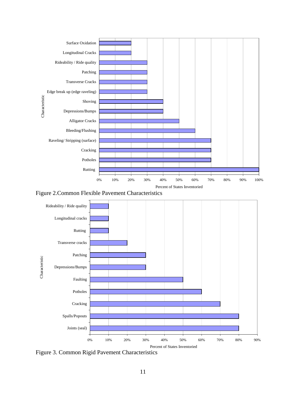<span id="page-17-1"></span><span id="page-17-0"></span>

Figure 2.Common Flexible Pavement Characteristics

<span id="page-17-2"></span>

Figure 3. Common Rigid Pavement Characteristics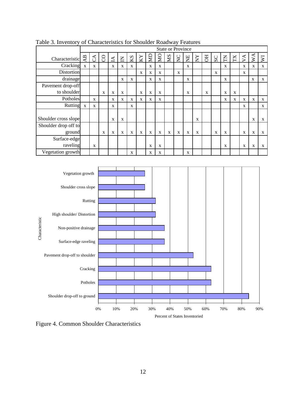|                                |                 | <b>State or Province</b> |             |              |                |              |             |             |                         |    |             |             |        |           |    |             |         |                 |                           |                             |
|--------------------------------|-----------------|--------------------------|-------------|--------------|----------------|--------------|-------------|-------------|-------------------------|----|-------------|-------------|--------|-----------|----|-------------|---------|-----------------|---------------------------|-----------------------------|
| Characteristic                 | $\overline{AB}$ | $\mathcal{L}$            | $\delta$    | $\Delta$     | $\overline{z}$ | KS           | KY          | $\Xi$       | $\overline{\mathbf{M}}$ | SM | $\Sigma$    | E           | $\sum$ | <b>FO</b> | SC | E           | $\rm X$ | $\triangledown$ | $\mathsf{W}^{\mathsf{A}}$ | $\overline{\triangleright}$ |
| Cracking                       | $\mathbf{X}$    | $\mathbf{X}$             |             | $\mathbf{X}$ | $\mathbf X$    | X            |             | X           | $\mathbf X$             |    |             | $\mathbf X$ |        |           |    | X           |         | X               | $\mathbf X$               | X                           |
| Distortion                     |                 |                          |             |              |                |              | X           | X           | $\mathbf X$             |    | X           |             |        |           | X  |             |         | X               |                           |                             |
| drainage                       |                 |                          |             |              | X              | $\mathbf X$  |             | X           | X                       |    |             | $\mathbf X$ |        |           |    | $\mathbf x$ |         |                 | X                         | $\mathbf X$                 |
| Pavement drop-off              |                 |                          |             |              |                |              |             |             |                         |    |             |             |        |           |    |             |         |                 |                           |                             |
| to shoulder                    |                 |                          | X           | X            | X              |              | $\mathbf X$ | $\mathbf X$ | X                       |    |             | X           |        | X         |    | X           | X       |                 |                           |                             |
| Potholes                       |                 | $\mathbf{x}$             |             | X            | X              | X            | X           | X           | X                       |    |             |             |        |           |    | X           | X       | X               | X                         | X                           |
| Rutting                        | $\mathbf X$     | X                        |             | X            |                | $\mathbf{X}$ |             |             |                         |    |             |             |        |           |    |             |         | X               |                           | $\mathbf{X}$                |
| Shoulder cross slope           |                 |                          |             | X            | X              |              |             |             |                         |    |             |             | X      |           |    |             |         |                 | X                         | X                           |
| Shoulder drop off to<br>ground |                 |                          | $\mathbf X$ | X            | X              | X            | X           | X           | X                       | X  | $\mathbf X$ | X           | X      |           | X  | X           |         | X               | X                         | X                           |
| Surface-edge<br>raveling       |                 | X                        |             |              |                |              |             | X           | $\mathbf X$             |    |             |             |        |           |    | X           |         | X               | X                         | X                           |
| Vegetation growth              |                 |                          |             |              |                | X            |             | $\mathbf X$ | X                       |    |             | X           |        |           |    |             |         |                 |                           |                             |

<span id="page-18-1"></span><span id="page-18-0"></span>Table 3. Inventory of Characteristics for Shoulder Roadway Features



Figure 4. Common Shoulder Characteristics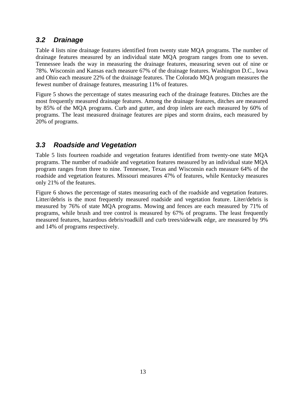#### <span id="page-19-0"></span>*3.2 Drainage*

Table 4 lists nine drainage features identified from twenty state MQA programs. The number of drainage features measured by an individual state MQA program ranges from one to seven. Tennessee leads the way in measuring the drainage features, measuring seven out of nine or 78%. Wisconsin and Kansas each measure 67% of the drainage features. Washington D.C., Iowa and Ohio each measure 22% of the drainage features. The Colorado MQA program measures the fewest number of drainage features, measuring 11% of features.

Figure 5 shows the percentage of states measuring each of the drainage features. Ditches are the most frequently measured drainage features. Among the drainage features, ditches are measured by 85% of the MQA programs. Curb and gutter, and drop inlets are each measured by 60% of programs. The least measured drainage features are pipes and storm drains, each measured by 20% of programs.

#### *3.3 Roadside and Vegetation*

Table 5 lists fourteen roadside and vegetation features identified from twenty-one state MQA programs. The number of roadside and vegetation features measured by an individual state MQA program ranges from three to nine. Tennessee, Texas and Wisconsin each measure 64% of the roadside and vegetation features. Missouri measures 47% of features, while Kentucky measures only 21% of the features.

Figure 6 shows the percentage of states measuring each of the roadside and vegetation features. Litter/debris is the most frequently measured roadside and vegetation feature. Liter/debris is measured by 76% of state MQA programs. Mowing and fences are each measured by 71% of programs, while brush and tree control is measured by 67% of programs. The least frequently measured features, hazardous debris/roadkill and curb trees/sidewalk edge, are measured by 9% and 14% of programs respectively.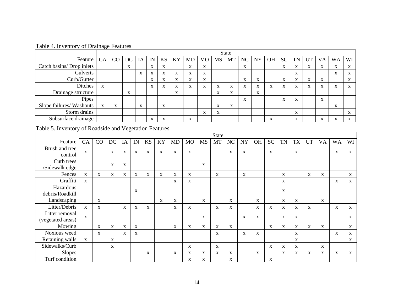|                           |              | <b>State</b> |    |                   |                   |                   |                           |                           |                           |                           |                   |                   |           |                           |                   |                           |                   |                   |                           |           |
|---------------------------|--------------|--------------|----|-------------------|-------------------|-------------------|---------------------------|---------------------------|---------------------------|---------------------------|-------------------|-------------------|-----------|---------------------------|-------------------|---------------------------|-------------------|-------------------|---------------------------|-----------|
| Feature                   | CA           | CO           | DC | IA                | IN                | KS                | KY                        | MD                        | <b>MO</b>                 | MS                        | MT                | NC                | <b>NY</b> | <b>OH</b>                 | <b>SC</b>         | <b>TN</b>                 | UT                | VA                | WA                        | WI        |
| Catch basins/ Drop inlets |              |              | X  |                   | X                 | $\mathbf{v}$<br>л |                           | $\mathbf{v}$<br>A         | X                         |                           |                   | $\mathbf{v}$<br>л |           |                           | X                 | $\mathbf{v}$<br>A         | $\mathbf{v}$<br>A | л                 | $\mathbf{v}$<br>A         | X         |
| Culverts                  |              |              |    | $\mathbf{v}$<br>A | X                 | v<br>A            | xr.<br>A                  | $\mathbf{v}$<br>A         | X                         |                           |                   |                   |           |                           |                   | X                         |                   |                   | $\mathbf{v}$<br>A         | A         |
| Curb/Gutter               |              |              |    |                   | X                 | $\mathbf{v}$<br>A | xr.<br>A                  | X                         | X                         |                           |                   | <b>XF</b><br>A    | X         |                           | $\mathbf{v}$<br>A | $\mathbf{v}$<br>A         | $\mathbf{v}$<br>A | л                 |                           | X         |
| Ditches                   | $\mathbf{X}$ |              |    |                   | $\mathbf X$       | $\mathbf{v}$<br>A | $\mathbf{v}$<br>$\Lambda$ | $\mathbf{v}$<br>A         | X                         | $\mathbf{v}$<br>$\Lambda$ | $\mathbf{v}$<br>A | $\mathbf{v}$<br>л | X         | $\mathbf{v}$<br>л         | $\mathbf{v}$<br>A | $\mathbf{v}$<br>A         | X                 | $\mathbf{v}$<br>A | $\mathbf{v}$<br>Λ         | $\Lambda$ |
| Drainage structure        |              |              | X  |                   |                   |                   | $\mathbf{v}$<br>A         |                           |                           | $\mathbf{v}$<br>$\Lambda$ | $\mathbf{v}$<br>л |                   | X         |                           |                   |                           |                   |                   |                           |           |
| Pipes                     |              |              |    |                   |                   |                   |                           |                           |                           |                           |                   | $\mathbf{v}$<br>A |           |                           | $\mathbf{v}$<br>Λ | $\mathbf{v}$<br>A         |                   | $\mathbf{v}$<br>л |                           |           |
| Slope failures/ Washouts  | X            | X            |    | X                 |                   | $\mathbf{v}$<br>A |                           |                           |                           | $\mathbf{v}$<br>$\Lambda$ | $\mathbf{v}$<br>A |                   |           |                           |                   |                           |                   |                   | $\mathbf{v}$<br>A         |           |
| Storm drains              |              |              |    |                   |                   |                   |                           |                           | $\mathbf{v}$<br>$\Lambda$ | $\mathbf{v}$<br>$\Lambda$ |                   |                   |           |                           |                   | $\mathbf{v}$<br>$\Lambda$ |                   |                   |                           | $\Lambda$ |
| Subsurface drainage       |              |              |    |                   | $\mathbf{v}$<br>A | $\mathbf{v}$<br>л |                           | $\mathbf{v}$<br>$\Lambda$ |                           |                           |                   |                   |           | $\mathbf{v}$<br>$\Lambda$ |                   | $\mathbf{v}$<br>$\Lambda$ |                   | <b>XF</b>         | $\mathbf{v}$<br>$\Lambda$ | л         |

Table 4. Inventory of Drainage Features

Table 5. Inventory of Roadside and Vegetation Features

<span id="page-20-0"></span>

|                                     |              |              |    |    |             |           |           |           |             |              | <b>State</b> |    |             |             |             |             |             |             |              |           |              |
|-------------------------------------|--------------|--------------|----|----|-------------|-----------|-----------|-----------|-------------|--------------|--------------|----|-------------|-------------|-------------|-------------|-------------|-------------|--------------|-----------|--------------|
| Feature                             | CA           | CO           | DC | IA | IN          | <b>KS</b> | <b>KY</b> | <b>MD</b> | <b>MO</b>   | <b>MS</b>    | <b>MT</b>    | NC | <b>NY</b>   | <b>OH</b>   | <b>SC</b>   | <b>TN</b>   | <b>TX</b>   | <b>UT</b>   | <b>VA</b>    | <b>WA</b> | WI           |
| Brush and tree<br>control           | $\mathbf{X}$ |              | X  | X  | X           | X         | X         | X         | X           |              |              | X  | $\mathbf X$ |             | X           |             | X           |             |              | X         | X            |
| Curb trees<br>/Sidewalk edge        |              |              | X  | X  |             |           |           |           |             | X            |              |    |             |             |             |             |             |             |              |           |              |
| Fences                              | $\mathbf{X}$ | X            | X  | X  | X           | X         | X         | X         | X           |              | X            |    | X           |             |             | $\mathbf X$ |             | X           | X            |           | $\mathbf{X}$ |
| Graffiti                            | $\mathbf{X}$ |              |    |    |             |           |           | X         | $\mathbf X$ |              |              |    |             |             |             | X           |             |             |              | X         | X            |
| Hazardous<br>debris/Roadkill        |              |              |    |    | X           |           |           |           |             |              |              |    |             |             |             | X           |             |             |              |           |              |
| Landscaping                         |              | $\mathbf{X}$ |    |    |             |           | X         | X         |             | $\mathbf{X}$ |              | X  |             | X           |             | X           | X           |             | $\mathbf{X}$ |           |              |
| Litter/Debris                       | $\mathbf{X}$ | X            |    | X  | X           | X         |           | X         | X           |              | X            | X  |             | X           | $\mathbf X$ | X           | X           | X           |              | X         | $\mathbf{X}$ |
| Litter removal<br>(vegetated areas) | $\mathbf{X}$ |              |    |    |             |           |           |           |             | $\mathbf X$  |              |    | X           | X           |             | X           | X           |             |              |           | X            |
| Mowing                              |              | X            | X  | X  | $\mathbf X$ |           |           | X         | X           | X            | X            | X  |             |             | X           | X           | $\mathbf X$ | $\mathbf X$ | $\mathbf{X}$ |           | X            |
| Noxious weed                        |              | X            |    | X  | $\mathbf X$ |           |           |           |             |              | X            |    | X           | $\mathbf X$ |             |             | X           |             |              | X         | X            |
| Retaining walls                     | $\mathbf X$  |              | X  |    |             |           |           |           |             |              |              |    |             |             |             |             | $\mathbf X$ |             |              |           | X            |
| Sidewalks/Curb                      |              |              | X  |    |             |           |           |           | X           |              | X            |    |             |             | X           | X           | $\mathbf X$ |             | $\mathbf X$  |           |              |
| <b>Slopes</b>                       |              |              |    |    |             | X         |           | X         | X           | X            | X            | X  |             | X           |             | $\mathbf X$ | X           | X           | X            | X         | X            |
| Turf condition                      |              |              |    |    |             |           |           |           | X           | X            |              | X  |             |             | $\mathbf X$ |             |             |             |              |           |              |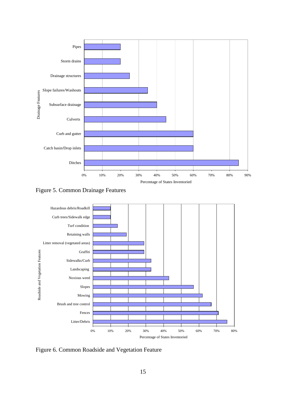<span id="page-21-0"></span>

Figure 5. Common Drainage Features



Figure 6. Common Roadside and Vegetation Feature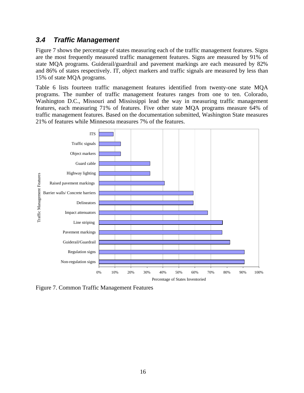#### <span id="page-22-0"></span>*3.4 Traffic Management*

Figure 7 shows the percentage of states measuring each of the traffic management features. Signs are the most frequently measured traffic management features. Signs are measured by 91% of state MQA programs. Guiderail/guardrail and pavement markings are each measured by 82% and 86% of states respectively. IT, object markers and traffic signals are measured by less than 15% of state MQA programs.

Table 6 lists fourteen traffic management features identified from twenty-one state MQA programs. The number of traffic management features ranges from one to ten. Colorado, Washington D.C., Missouri and Mississippi lead the way in measuring traffic management features, each measuring 71% of features. Five other state MQA programs measure 64% of traffic management features. Based on the documentation submitted, Washington State measures 21% of features while Minnesota measures 7% of the features.



Figure 7. Common Traffic Management Features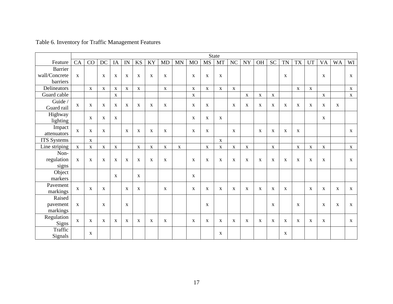<span id="page-23-0"></span>

|                       |              | <b>State</b> |              |              |              |              |              |              |             |              |              |              |              |              |             |              |              |              |              |             |             |              |
|-----------------------|--------------|--------------|--------------|--------------|--------------|--------------|--------------|--------------|-------------|--------------|--------------|--------------|--------------|--------------|-------------|--------------|--------------|--------------|--------------|-------------|-------------|--------------|
| Feature               | CA           | CO           | DC           | IA           | IN           | KS           | KY           | MD           | <b>MN</b>   | <b>MO</b>    | MS           | <b>MT</b>    | $\rm NC$     | <b>NY</b>    | OH          | <b>SC</b>    | TN           | <b>TX</b>    | <b>UT</b>    | <b>VA</b>   | <b>WA</b>   | WI           |
| <b>Barrier</b>        |              |              |              |              |              |              |              |              |             |              |              |              |              |              |             |              |              |              |              |             |             |              |
| wall/Concrete         | $\mathbf{X}$ |              | $\mathbf X$  | $\mathbf{X}$ | X            | $\mathbf{X}$ | $\mathbf{X}$ | X            |             | X            | $\mathbf X$  | $\mathbf X$  |              |              |             |              | $\mathbf X$  |              |              | X           |             | $\mathbf{X}$ |
| barriers              |              |              |              |              |              |              |              |              |             |              |              |              |              |              |             |              |              |              |              |             |             |              |
| Delineators           |              | $\mathbf{X}$ | $\mathbf{X}$ | $\mathbf{X}$ | $\mathbf X$  | $\mathbf{X}$ |              | $\mathbf{X}$ |             | $\mathbf{X}$ | $\mathbf{X}$ | $\mathbf{X}$ | $\mathbf{X}$ |              |             |              |              | $\mathbf X$  | $\mathbf{X}$ |             |             | $\mathbf X$  |
| Guard cable           |              |              |              | $\mathbf X$  |              |              |              |              |             | $\mathbf{X}$ |              |              |              | $\mathbf X$  | $\mathbf X$ | $\mathbf{X}$ |              |              |              | $\mathbf X$ |             | $\mathbf X$  |
| Guide /<br>Guard rail | $\mathbf X$  | $\mathbf X$  | $\mathbf{X}$ | $\mathbf{X}$ | $\mathbf X$  | $\mathbf{X}$ | $\mathbf{X}$ | $\mathbf X$  |             | $\mathbf X$  | $\mathbf X$  |              | $\mathbf X$  | X            | $\mathbf X$ | $\mathbf{X}$ | $\mathbf{X}$ | X            | $\mathbf X$  | X           | $\mathbf X$ |              |
| Highway<br>lighting   |              | $\mathbf{X}$ | $\mathbf X$  | $\mathbf{X}$ |              |              |              |              |             | $\mathbf{X}$ | $\mathbf X$  | $\mathbf X$  |              |              |             |              |              |              |              | X           |             |              |
| Impact<br>attenuators | $\mathbf X$  | $\mathbf X$  | $\mathbf{X}$ |              | $\mathbf{X}$ | $\mathbf{X}$ | $\mathbf X$  | $\mathbf X$  |             | $\mathbf X$  | $\mathbf X$  |              | $\mathbf X$  |              | $\mathbf X$ | $\mathbf{X}$ | $\mathbf X$  | $\mathbf X$  |              |             |             | $\mathbf{X}$ |
| <b>ITS</b> Systems    |              | $\mathbf{X}$ |              |              |              |              |              |              |             |              |              | $\mathbf{X}$ |              |              |             |              |              |              |              |             |             |              |
| Line striping         | $\mathbf{X}$ | $\mathbf X$  | $\mathbf{X}$ | $\mathbf X$  |              | $\mathbf X$  | $\mathbf X$  | $\mathbf X$  | $\mathbf X$ |              | $\mathbf X$  | $\mathbf X$  | $\mathbf X$  | $\mathbf X$  |             | $\mathbf X$  |              | $\mathbf X$  | $\mathbf X$  | $\mathbf X$ |             | $\mathbf X$  |
| Non-                  |              |              |              |              |              |              |              |              |             |              |              |              |              |              |             |              |              |              |              |             |             |              |
| regulation            | $\mathbf X$  | $\mathbf{X}$ | $\mathbf X$  | $\mathbf{X}$ | $\mathbf X$  | $\mathbf X$  | $\mathbf X$  | $\mathbf X$  |             | $\mathbf X$  | $\mathbf X$  | $\mathbf X$  | $\mathbf X$  | $\mathbf{X}$ | $\mathbf X$ | $\mathbf X$  | $\mathbf X$  | $\mathbf X$  | $\mathbf X$  | X           |             | $\mathbf{X}$ |
| signs                 |              |              |              |              |              |              |              |              |             |              |              |              |              |              |             |              |              |              |              |             |             |              |
| Object<br>markers     |              |              |              | $\mathbf{X}$ |              | $\mathbf X$  |              |              |             | $\mathbf X$  |              |              |              |              |             |              |              |              |              |             |             |              |
| Pavement<br>markings  | $\mathbf X$  | $\mathbf{X}$ | $\mathbf X$  |              | $\mathbf X$  | X            |              | X            |             | $\mathbf X$  | $\mathbf X$  | $\mathbf X$  | X            | $\mathbf X$  | $\mathbf X$ | $\mathbf X$  | $\mathbf{X}$ |              | X            | X           | $\mathbf X$ | $\mathbf{X}$ |
| Raised                |              |              |              |              |              |              |              |              |             |              |              |              |              |              |             |              |              |              |              |             |             |              |
| pavement              | $\mathbf X$  |              | $\mathbf{X}$ |              | X            |              |              |              |             |              | $\mathbf X$  |              |              |              |             | $\mathbf{X}$ |              | $\mathbf{X}$ |              | $\mathbf X$ | $\mathbf X$ | $\mathbf X$  |
| markings              |              |              |              |              |              |              |              |              |             |              |              |              |              |              |             |              |              |              |              |             |             |              |
| Regulation<br>Signs   | $\mathbf X$  | $\mathbf{X}$ | $\mathbf X$  | $\mathbf X$  | $\mathbf X$  | X            | $\mathbf X$  | $\mathbf X$  |             | $\mathbf X$  | $\mathbf X$  | $\mathbf X$  | X            | $\mathbf X$  | $\mathbf X$ | $\mathbf X$  | $\mathbf X$  | X            | X            | X           |             | $\mathbf{X}$ |
| Traffic<br>Signals    |              | $\mathbf X$  |              |              |              |              |              |              |             |              |              | X            |              |              |             |              | $\mathbf X$  |              |              |             |             |              |

Table 6. Inventory for Traffic Management Features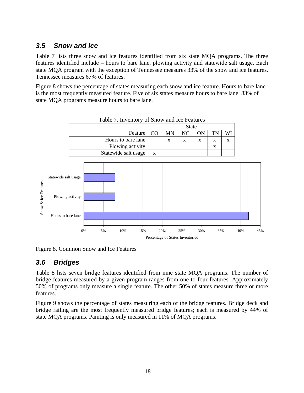#### <span id="page-24-0"></span>*3.5 Snow and Ice*

Table 7 lists three snow and ice features identified from six state MQA programs. The three features identified include – hours to bare lane, plowing activity and statewide salt usage. Each state MQA program with the exception of Tennessee measures 33% of the snow and ice features. Tennessee measures 67% of features.

Figure 8 shows the percentage of states measuring each snow and ice feature. Hours to bare lane is the most frequently measured feature. Five of six states measure hours to bare lane. 83% of state MQA programs measure hours to bare lane.





Figure 8. Common Snow and Ice Features

#### *3.6 Bridges*

Table 8 lists seven bridge features identified from nine state MQA programs. The number of bridge features measured by a given program ranges from one to four features. Approximately 50% of programs only measure a single feature. The other 50% of states measure three or more features.

Figure 9 shows the percentage of states measuring each of the bridge features. Bridge deck and bridge railing are the most frequently measured bridge features; each is measured by 44% of state MQA programs. Painting is only measured in 11% of MQA programs.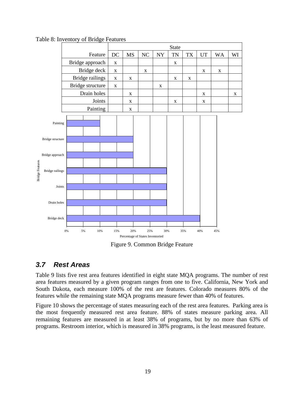

<span id="page-25-0"></span>Table 8: Inventory of Bridge Features

Figure 9. Common Bridge Feature

#### *3.7 Rest Areas*

Bridge Features

**Bridge Features** 

Table 9 lists five rest area features identified in eight state MQA programs. The number of rest area features measured by a given program ranges from one to five. California, New York and South Dakota, each measure 100% of the rest are features. Colorado measures 80% of the features while the remaining state MQA programs measure fewer than 40% of features.

Figure 10 shows the percentage of states measuring each of the rest area features. Parking area is the most frequently measured rest area feature. 88% of states measure parking area. All remaining features are measured in at least 38% of programs, but by no more than 63% of programs. Restroom interior, which is measured in 38% programs, is the least measured feature.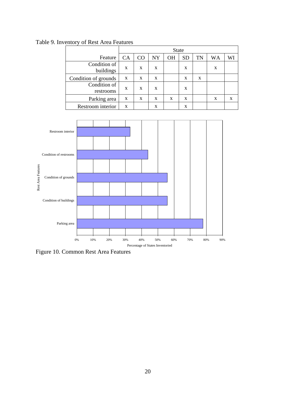|                           |           | <b>State</b> |    |           |           |    |    |    |  |  |  |
|---------------------------|-----------|--------------|----|-----------|-----------|----|----|----|--|--|--|
| Feature                   | <b>CA</b> | CO           | NY | <b>OH</b> | <b>SD</b> | TN | WA | WI |  |  |  |
| Condition of<br>buildings | X         | X            | X  |           | X         |    | X  |    |  |  |  |
| Condition of grounds      | X         | X            | X  |           | X         | X  |    |    |  |  |  |
| Condition of<br>restrooms | X         | X            | X  |           | X         |    |    |    |  |  |  |
| Parking area              | X         | $\mathbf x$  | X  | X         | X         |    | X  | X  |  |  |  |
| Restroom interior         | X         |              | X  |           | X         |    |    |    |  |  |  |

<span id="page-26-0"></span>Table 9. Inventory of Rest Area Features



Figure 10. Common Rest Area Features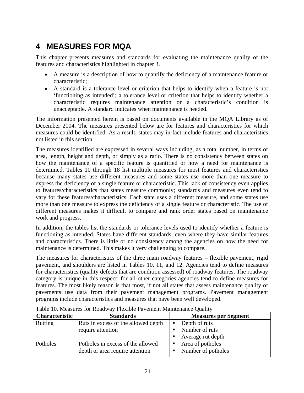## <span id="page-27-0"></span>**4 MEASURES FOR MQA**

This chapter presents measures and standards for evaluating the maintenance quality of the features and characteristics highlighted in chapter 3.

- A measure is a description of how to quantify the deficiency of a maintenance feature or characteristic;
- A standard is a tolerance level or criterion that helps to identify when a feature is not 'functioning as intended'; a tolerance level or criterion that helps to identify whether a characteristic requires maintenance attention or a characteristic's condition is unacceptable. A standard indicates when maintenance is needed.

The information presented herein is based on documents available in the MQA Library as of December 2004. The measures presented below are for features and characteristics for which measures could be identified. As a result, states may in fact include features and characteristics not listed in this section.

The measures identified are expressed in several ways including, as a total number, in terms of area, length, height and depth, or simply as a ratio. There is no consistency between states on how the maintenance of a specific feature is quantified or how a need for maintenance is determined. Tables 10 through 18 list multiple measures for most features and characteristics because many states use different measures and some states use more than one measure to express the deficiency of a single feature or characteristic. This lack of consistency even applies to features/characteristics that states measure commonly; standards and measures even tend to vary for these features/characteristics. Each state uses a different measure, and some states use more than one measure to express the deficiency of a single feature or characteristic. The use of different measures makes it difficult to compare and rank order states based on maintenance work and progress.

In addition, the tables list the standards or tolerance levels used to identify whether a feature is functioning as intended. States have different standards, even where they have similar features and characteristics. There is little or no consistency among the agencies on how the need for maintenance is determined. This makes it very challenging to compare.

The measures for characteristics of the three main roadway features – flexible pavement, rigid pavement, and shoulders are listed in Tables 10, 11, and 12. Agencies tend to define measures for characteristics (quality defects that are condition assessed) of roadway features. The roadway category is unique in this respect; for all other categories agencies tend to define measures for features. The most likely reason is that most, if not all states that assess maintenance quality of pavements use data from their pavement management programs. Pavement management programs include characteristics and measures that have been well developed.

| Characteristic | <b>Standards</b>                    | <b>Measures per Segment</b>     |
|----------------|-------------------------------------|---------------------------------|
| Rutting        | Ruts in excess of the allowed depth | Depth of ruts<br>$\blacksquare$ |
|                | require attention                   | Number of ruts                  |
|                |                                     | Average rut depth<br>п          |
| Potholes       | Potholes in excess of the allowed   | Area of potholes                |
|                | depth or area require attention     | Number of potholes<br>п         |
|                |                                     |                                 |

Table 10. Measures for Roadway Flexible Pavement Maintenance Quality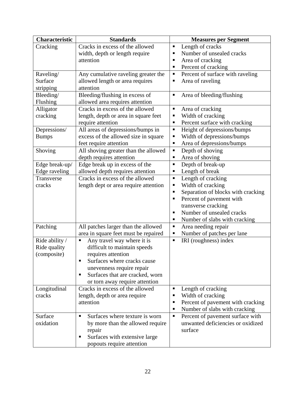| Characteristic | <b>Standards</b>                      | <b>Measures per Segment</b>             |
|----------------|---------------------------------------|-----------------------------------------|
| Cracking       | Cracks in excess of the allowed       | Length of cracks<br>п                   |
|                | width, depth or length require        | Number of unsealed cracks<br>п          |
|                | attention                             | Area of cracking<br>п                   |
|                |                                       | Percent of cracking<br>п                |
| Raveling/      | Any cumulative raveling greater the   | Percent of surface with raveling<br>п   |
| Surface        | allowed length or area requires       | Area of raveling<br>п                   |
| stripping      | attention                             |                                         |
| Bleeding/      | Bleeding/flushing in excess of        | Area of bleeding/flushing<br>Ξ          |
| Flushing       | allowed area requires attention       |                                         |
| Alligator      | Cracks in excess of the allowed       | Area of cracking<br>п                   |
| cracking       | length, depth or area in square feet  | Width of cracking<br>п                  |
|                | require attention                     | Percent surface with cracking<br>п      |
| Depressions/   | All areas of depressions/bumps in     | Height of depressions/bumps<br>п        |
| <b>Bumps</b>   | excess of the allowed size in square  | Width of depressions/bumps<br>п         |
|                | feet require attention                | Area of depressions/bumps<br>Е          |
| Shoving        | All shoving greater than the allowed  | Depth of shoving<br>п                   |
|                | depth requires attention              | Area of shoving<br>п                    |
| Edge break-up/ | Edge break up in excess of the        | Depth of break-up<br>П                  |
| Edge raveling  | allowed depth requires attention      | Length of break<br>п                    |
| Transverse     | Cracks in excess of the allowed       | Length of cracking<br>Ξ                 |
| cracks         | length dept or area require attention | Width of cracking<br>٠                  |
|                |                                       | Separation of blocks with cracking<br>ш |
|                |                                       | Percent of pavement with<br>٠           |
|                |                                       | transverse cracking                     |
|                |                                       | Number of unsealed cracks<br>П          |
|                |                                       | Number of slabs with cracking<br>п      |
| Patching       | All patches larger than the allowed   | Area needing repair<br>Ξ                |
|                | area in square feet must be repaired  | Number of patches per lane<br>п         |
| Ride ability / | Any travel way where it is<br>Ξ       | IRI (roughness) index<br>п              |
| Ride quality   | difficult to maintain speeds          |                                         |
| (composite)    | requires attention                    |                                         |
|                | Surfaces where cracks cause           |                                         |
|                | unevenness require repair             |                                         |
|                | Surfaces that are cracked, worn<br>٠  |                                         |
|                | or torn away require attention        |                                         |
| Longitudinal   | Cracks in excess of the allowed       | Length of cracking<br>Ξ                 |
| cracks         | length, depth or area require         | Width of cracking<br>ш                  |
|                | attention                             | Percent of pavement with cracking<br>п  |
|                |                                       | Number of slabs with cracking<br>п      |
| Surface        | Surfaces where texture is worn<br>п   | Percent of pavement surface with<br>Ξ   |
| oxidation      | by more than the allowed require      | unwanted deficiencies or oxidized       |
|                | repair                                | surface                                 |
|                | Surfaces with extensive large<br>٠    |                                         |
|                | popouts require attention             |                                         |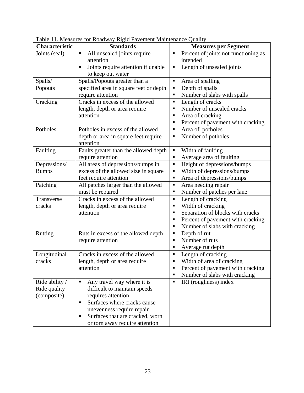| <b>Characteristic</b> | ruote 11. measures for froughly fugly I avenient manifematic Quanty<br><b>Standards</b> | <b>Measures per Segment</b>            |
|-----------------------|-----------------------------------------------------------------------------------------|----------------------------------------|
| Joints (seal)         | All unsealed joints require<br>$\blacksquare$                                           | Percent of joints not functioning as   |
|                       | attention                                                                               | intended                               |
|                       | Joints require attention if unable<br>п                                                 | Length of unsealed joints<br>п         |
|                       | to keep out water                                                                       |                                        |
| Spalls/               | Spalls/Popouts greater than a                                                           | Area of spalling<br>$\blacksquare$     |
| Popouts               | specified area in square feet or depth                                                  | Depth of spalls<br>Ξ                   |
|                       | require attention                                                                       | Number of slabs with spalls<br>п       |
| Cracking              | Cracks in excess of the allowed                                                         | Length of cracks<br>п                  |
|                       | length, depth or area require                                                           | Number of unsealed cracks<br>٠         |
|                       | attention                                                                               | Area of cracking                       |
|                       |                                                                                         | Percent of pavement with cracking<br>ш |
| Potholes              | Potholes in excess of the allowed                                                       | Area of potholes<br>п                  |
|                       | depth or area in square feet require                                                    | Number of potholes<br>Е                |
|                       | attention                                                                               |                                        |
| Faulting              | Faults greater than the allowed depth                                                   | Width of faulting<br>п                 |
|                       | require attention                                                                       | Average area of faulting<br>п          |
| Depressions/          | All areas of depressions/bumps in                                                       | Height of depressions/bumps<br>Ξ       |
| <b>Bumps</b>          | excess of the allowed size in square                                                    | Width of depressions/bumps<br>п        |
|                       | feet require attention                                                                  | Area of depressions/bumps<br>п         |
| Patching              | All patches larger than the allowed                                                     | Area needing repair<br>Ξ               |
|                       | must be repaired                                                                        | Number of patches per lane<br>п        |
| Transverse            | Cracks in excess of the allowed                                                         | Length of cracking<br>п                |
| cracks                | length, depth or area require                                                           | Width of cracking<br>п                 |
|                       | attention                                                                               | Separation of blocks with cracks<br>٠  |
|                       |                                                                                         | Percent of pavement with cracking<br>п |
|                       |                                                                                         | Number of slabs with cracking<br>п     |
| Rutting               | Ruts in excess of the allowed depth                                                     | Depth of rut<br>п                      |
|                       | require attention                                                                       | Number of ruts<br>٠                    |
|                       |                                                                                         | Average rut depth<br>п                 |
| Longitudinal          | Cracks in excess of the allowed                                                         | Length of cracking<br>п                |
| cracks                | length, depth or area require                                                           | Width of area of cracking<br>п         |
|                       | attention                                                                               | Percent of pavement with cracking<br>П |
|                       |                                                                                         | Number of slabs with cracking<br>Е     |
| Ride ability /        | Any travel way where it is<br>п                                                         | IRI (roughness) index                  |
| Ride quality          | difficult to maintain speeds                                                            |                                        |
| (composite)           | requires attention                                                                      |                                        |
|                       | Surfaces where cracks cause<br>٠                                                        |                                        |
|                       | unevenness require repair                                                               |                                        |
|                       | Surfaces that are cracked, worn<br>٠                                                    |                                        |
|                       | or torn away require attention                                                          |                                        |

<span id="page-29-0"></span>Table 11. Measures for Roadway Rigid Pavement Maintenance Quality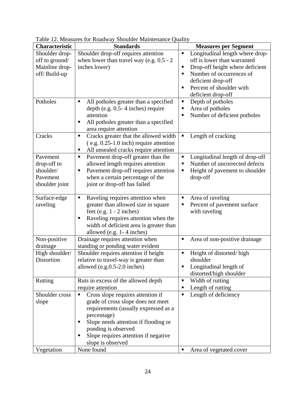| <b>Characteristic</b>                                                          | <b>Standards</b>                                                                                                                                                                                                                                                          | <b>Measures per Segment</b>                                                                                                                                                                                                                         |
|--------------------------------------------------------------------------------|---------------------------------------------------------------------------------------------------------------------------------------------------------------------------------------------------------------------------------------------------------------------------|-----------------------------------------------------------------------------------------------------------------------------------------------------------------------------------------------------------------------------------------------------|
| Shoulder drop-<br>off to ground/<br>Mainline drop-<br>off/Build-up<br>Potholes | Shoulder drop-off requires attention<br>when lower than travel way (e.g. $0.5 - 2$<br>inches lower)<br>All potholes greater than a specified<br>Ξ                                                                                                                         | Longitudinal length where drop-<br>٠<br>off is lower than warranted<br>Drop-off height where deficient<br>٠<br>Number of occurrences of<br>٠<br>deficient drop-off<br>Percent of shoulder with<br>п<br>deficient drop-off<br>Depth of potholes<br>Ξ |
|                                                                                | depth (e.g. $0.5 - 4$ inches) require<br>attention<br>All potholes greater than a specified<br>п<br>area require attention                                                                                                                                                | Area of potholes<br>п<br>Number of deficient potholes<br>٠                                                                                                                                                                                          |
| Cracks                                                                         | Cracks greater that the allowed width<br>П<br>$(e.g. 0.25-1.0$ inch) require attention<br>All unsealed cracks require attention<br>٠                                                                                                                                      | Length of cracking<br>Ξ                                                                                                                                                                                                                             |
| Pavement<br>drop-off to<br>shoulder/<br>Pavement<br>shoulder joint             | Pavement drop-off greater than the<br>allowed length requires attention<br>Pavement drop-off requires attention<br>П<br>when a certain percentage of the<br>joint or drop-off has failed                                                                                  | Longitudinal length of drop-off<br>п<br>Number of uncorrected defects<br>п<br>Height of pavement to shoulder<br>Ξ<br>drop-off                                                                                                                       |
| Surface-edge<br>raveling                                                       | Raveling requires attention when<br>٠<br>greater than allowed size in square<br>feet (e.g. $1 - 2$ inches)<br>Raveling requires attention when the<br>П<br>width of deficient area is greater than<br>allowed (e.g. 1-4 inches)                                           | Area of raveling<br>٠<br>Percent of pavement surface<br>п<br>with raveling                                                                                                                                                                          |
| Non-positive<br>drainage                                                       | Drainage requires attention when<br>standing or ponding water evident                                                                                                                                                                                                     | Area of non-positive drainage<br>$\blacksquare$                                                                                                                                                                                                     |
| High shoulder/<br>Distortion                                                   | Shoulder requires attention if height<br>relative to travel-way is greater than<br>allowed (e.g.0.5-2.0 inches)                                                                                                                                                           | Height of distorted/high<br>Π<br>shoulder<br>Longitudinal length of<br>distorted/high shoulder                                                                                                                                                      |
| Rutting                                                                        | Ruts in excess of the allowed depth<br>require attention                                                                                                                                                                                                                  | Width of rutting<br>Π<br>Length of rutting<br>п                                                                                                                                                                                                     |
| Shoulder cross<br>slope                                                        | Cross slope requires attention if<br>п<br>grade of cross slope does not meet<br>requirements (usually expressed as a<br>percentage)<br>Slope needs attention if flooding or<br>п<br>ponding is observed<br>Slope requires attention if negative<br>п<br>slope is observed | Length of deficiency<br>٠                                                                                                                                                                                                                           |
| Vegetation                                                                     | None found                                                                                                                                                                                                                                                                | Area of vegetated cover<br>$\blacksquare$                                                                                                                                                                                                           |

<span id="page-30-0"></span>Table 12. Measures for Roadway Shoulder Maintenance Quality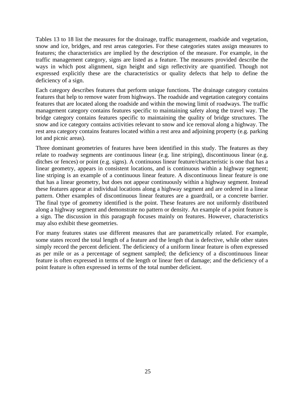Tables 13 to 18 list the measures for the drainage, traffic management, roadside and vegetation, snow and ice, bridges, and rest areas categories. For these categories states assign measures to features; the characteristics are implied by the description of the measure. For example, in the traffic management category, signs are listed as a feature. The measures provided describe the ways in which post alignment, sign height and sign reflectivity are quantified. Though not expressed explicitly these are the characteristics or quality defects that help to define the deficiency of a sign.

Each category describes features that perform unique functions. The drainage category contains features that help to remove water from highways. The roadside and vegetation category contains features that are located along the roadside and within the mowing limit of roadways. The traffic management category contains features specific to maintaining safety along the travel way. The bridge category contains features specific to maintaining the quality of bridge structures. The snow and ice category contains activities relevant to snow and ice removal along a highway. The rest area category contains features located within a rest area and adjoining property (e.g. parking lot and picnic areas).

Three dominant geometries of features have been identified in this study. The features as they relate to roadway segments are continuous linear (e.g. line striping), discontinuous linear (e.g. ditches or fences) or point (e.g. signs). A continuous linear feature/characteristic is one that has a linear geometry, appears in consistent locations, and is continuous within a highway segment; line striping is an example of a continuous linear feature. A discontinuous linear feature is one that has a linear geometry, but does not appear continuously within a highway segment. Instead these features appear at individual locations along a highway segment and are ordered in a linear pattern. Other examples of discontinuous linear features are a guardrail, or a concrete barrier. The final type of geometry identified is the point. These features are not uniformly distributed along a highway segment and demonstrate no pattern or density. An example of a point feature is a sign. The discussion in this paragraph focuses mainly on features. However, characteristics may also exhibit these geometries.

For many features states use different measures that are parametrically related. For example, some states record the total length of a feature and the length that is defective, while other states simply record the percent deficient. The deficiency of a uniform linear feature is often expressed as per mile or as a percentage of segment sampled; the deficiency of a discontinuous linear feature is often expressed in terms of the length or linear feet of damage; and the deficiency of a point feature is often expressed in terms of the total number deficient.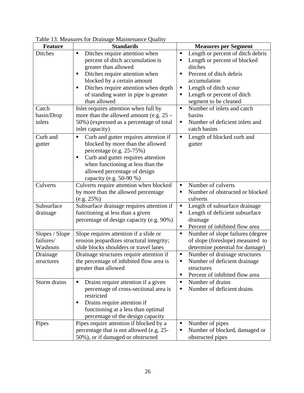| <b>Feature</b>                          | <b>Standards</b>                                                                                                                                                                                                                                                      | <b>Measures per Segment</b>                                                                                                                                                                                                      |
|-----------------------------------------|-----------------------------------------------------------------------------------------------------------------------------------------------------------------------------------------------------------------------------------------------------------------------|----------------------------------------------------------------------------------------------------------------------------------------------------------------------------------------------------------------------------------|
| <b>Ditches</b>                          | Ditches require attention when<br>п<br>percent of ditch accumulation is<br>greater than allowed<br>Ditches require attention when<br>blocked by a certain amount<br>Ditches require attention when depth<br>٠<br>of standing water in pipe is greater<br>than allowed | Length or percent of ditch debris<br>П<br>Length or percent of blocked<br>٠<br>ditches<br>Percent of ditch debris<br>٠<br>accumulation<br>Length of ditch scour<br>Ξ<br>Length or percent of ditch<br>П<br>segment to be cleaned |
| Catch<br>basin/Drop<br>inlets           | Inlet requires attention when full by<br>more than the allowed amount (e.g. $25 -$<br>50%) (expressed as a percentage of total<br>inlet capacity)                                                                                                                     | Number of inlets and catch<br>Ξ<br>basins<br>Number of deficient inlets and<br>П<br>catch basins                                                                                                                                 |
| Curb and<br>gutter                      | Curb and gutter requires attention if<br>П<br>blocked by more than the allowed<br>percentage (e.g. 25-75%)<br>Curb and gutter requires attention<br>٠<br>when functioning at less than the<br>allowed percentage of design<br>capacity (e.g. 50-90 %)                 | Length of blocked curb and<br>П<br>gutter                                                                                                                                                                                        |
| Culverts                                | Culverts require attention when blocked<br>by more than the allowed percentage<br>(e.g. 25%)                                                                                                                                                                          | Number of culverts<br>٠<br>Number of obstructed or blocked<br>٠<br>culverts                                                                                                                                                      |
| Subsurface<br>drainage                  | Subsurface drainage requires attention if<br>functioning at less than a given<br>percentage of design capacity (e.g. 90%)                                                                                                                                             | Length of subsurface drainage<br>Ξ<br>Length of deficient subsurface<br>Ξ<br>drainage<br>Percent of inhibited flow area<br>п                                                                                                     |
| Slopes / Slope<br>failures/<br>Washouts | Slope requires attention if a slide or<br>erosion jeopardizes structural integrity;<br>slide blocks shoulders or travel lanes                                                                                                                                         | Number of slope failures (degree<br>Ξ<br>of slope (foreslope) measured to<br>determine potential for damage)                                                                                                                     |
| Drainage<br>structures                  | Drainage structures require attention if<br>the percentage of inhibited flow area is<br>greater than allowed                                                                                                                                                          | Number of drainage structures<br>Ξ<br>Number of deficient drainage<br>П<br>structures<br>Percent of inhibited flow area<br>П                                                                                                     |
| Storm drains                            | Drains require attention if a given<br>п<br>percentage of cross-sectional area is<br>restricted<br>Drains require attention if<br>٠<br>functioning at a less than optimal<br>percentage of the design capacity                                                        | Number of drains<br>Ξ<br>Number of deficient drains<br>٠                                                                                                                                                                         |
| Pipes                                   | Pipes require attention if blocked by a<br>percentage that is not allowed (e.g. 25-<br>50%), or if damaged or obstructed                                                                                                                                              | Number of pipes<br>п<br>Number of blocked, damaged or<br>Ξ<br>obstructed pipes                                                                                                                                                   |

<span id="page-32-0"></span>Table 13. Measures for Drainage Maintenance Quality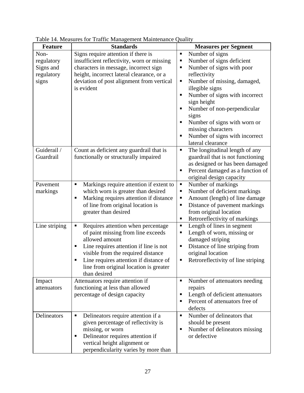| <b>Feature</b> | radic 14. measures for Traffic management manuemance Quanty<br><b>Standards</b> | <b>Measures per Segment</b>                        |
|----------------|---------------------------------------------------------------------------------|----------------------------------------------------|
| Non-           | Signs require attention if there is                                             | Number of signs<br>Ξ                               |
| regulatory     | insufficient reflectivity, worn or missing                                      | Number of signs deficient<br>Ξ                     |
| Signs and      | characters in message, incorrect sign                                           | Number of signs with poor<br>٠                     |
| regulatory     | height, incorrect lateral clearance, or a                                       | reflectivity                                       |
|                | deviation of post alignment from vertical                                       | Number of missing, damaged,<br>Ξ                   |
| signs          | is evident                                                                      |                                                    |
|                |                                                                                 | illegible signs<br>П                               |
|                |                                                                                 | Number of signs with incorrect<br>sign height      |
|                |                                                                                 | Number of non-perpendicular<br>П                   |
|                |                                                                                 | signs<br>П                                         |
|                |                                                                                 | Number of signs with worn or<br>missing characters |
|                |                                                                                 | Number of signs with incorrect<br>٠                |
|                |                                                                                 | lateral clearance                                  |
| Guiderail /    | Count as deficient any guardrail that is                                        | The longitudinal length of any<br>Ξ                |
| Guardrail      | functionally or structurally impaired                                           | guardrail that is not functioning                  |
|                |                                                                                 | as designed or has been damaged                    |
|                |                                                                                 | Percent damaged as a function of<br>Ξ              |
|                |                                                                                 | original design capacity                           |
| Pavement       | ٠                                                                               | Ξ                                                  |
|                | Markings require attention if extent to                                         | Number of markings                                 |
| markings       | which worn is greater than desired                                              | Number of deficient markings<br>Ξ                  |
|                | Marking requires attention if distance<br>п                                     | Amount (length) of line damage<br>Ξ                |
|                | of line from original location is                                               | Distance of pavement markings<br>П                 |
|                | greater than desired                                                            | from original location                             |
|                |                                                                                 | Retroreflectivity of markings<br>П                 |
| Line striping  | Requires attention when percentage<br>٠                                         | Length of lines in segment<br>П                    |
|                | of paint missing from line exceeds                                              | Length of worn, missing or<br>Ξ                    |
|                | allowed amount                                                                  | damaged striping                                   |
|                | Line requires attention if line is not<br>п                                     | Distance of line striping from<br>Ξ                |
|                | visible from the required distance                                              | original location                                  |
|                | Line requires attention if distance of<br>٠                                     | Retroreflectivity of line striping<br>Ξ            |
|                | line from original location is greater                                          |                                                    |
|                | than desired                                                                    |                                                    |
| Impact         | Attenuators require attention if                                                | Π<br>Number of attenuators needing                 |
| attenuators    | functioning at less than allowed                                                | repairs                                            |
|                | percentage of design capacity                                                   | Length of deficient attenuators<br>п               |
|                |                                                                                 | Percent of attenuators free of<br>٠                |
|                |                                                                                 | defects                                            |
| Delineators    | Delineators require attention if a<br>٠                                         | Number of delineators that<br>Π                    |
|                | given percentage of reflectivity is                                             | should be present                                  |
|                | missing, or worn                                                                | Number of delineators missing<br>П                 |
|                | Delineator requires attention if<br>٠                                           | or defective                                       |
|                | vertical height alignment or                                                    |                                                    |
|                | perpendicularity varies by more than                                            |                                                    |

<span id="page-33-0"></span>Table 14. Measures for Traffic Management Maintenance Quality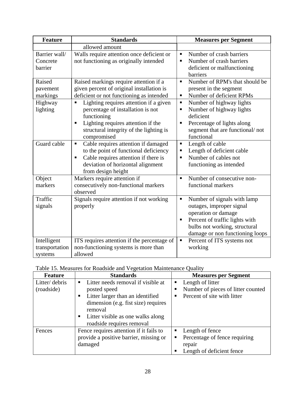<span id="page-34-0"></span>

| <b>Feature</b>                           | <b>Standards</b>                                                                                                                                                                                                    | <b>Measures per Segment</b>                                                                                                                                                                            |
|------------------------------------------|---------------------------------------------------------------------------------------------------------------------------------------------------------------------------------------------------------------------|--------------------------------------------------------------------------------------------------------------------------------------------------------------------------------------------------------|
|                                          | allowed amount                                                                                                                                                                                                      |                                                                                                                                                                                                        |
| Barrier wall/<br>Concrete<br>barrier     | Walls require attention once deficient or<br>not functioning as originally intended                                                                                                                                 | Number of crash barriers<br>$\blacksquare$<br>Number of crash barriers<br>$\blacksquare$<br>deficient or malfunctioning<br>barriers                                                                    |
| Raised<br>pavement<br>markings           | Raised markings require attention if a<br>given percent of original installation is<br>deficient or not functioning as intended                                                                                     | Number of RPM's that should be<br>$\blacksquare$<br>present in the segment<br>Number of deficient RPMs<br>$\blacksquare$                                                                               |
| Highway<br>lighting                      | Lighting requires attention if a given<br>$\blacksquare$<br>percentage of installation is not<br>functioning<br>Lighting requires attention if the<br>Е<br>structural integrity of the lighting is<br>compromised   | Number of highway lights<br>П<br>Number of highway lights<br>Е<br>deficient<br>Percentage of lights along<br>Ξ<br>segment that are functional/not<br>functional                                        |
| Guard cable                              | Cable requires attention if damaged<br>$\blacksquare$<br>to the point of functional deficiency<br>Cable requires attention if there is<br>$\blacksquare$<br>deviation of horizontal alignment<br>from design height | Length of cable<br>Ξ<br>Length of deficient cable<br>П<br>Number of cables not<br>$\blacksquare$<br>functioning as intended                                                                            |
| Object<br>markers                        | Markers require attention if<br>consecutively non-functional markers<br>observed                                                                                                                                    | Number of consecutive non-<br>$\blacksquare$<br>functional markers                                                                                                                                     |
| Traffic<br>signals                       | Signals require attention if not working<br>properly                                                                                                                                                                | Number of signals with lamp<br>$\blacksquare$<br>outages, improper signal<br>operation or damage<br>Percent of traffic lights with<br>bulbs not working, structural<br>damage or non functioning loops |
| Intelligent<br>transportation<br>systems | ITS requires attention if the percentage of<br>non-functioning systems is more than<br>allowed                                                                                                                      | Percent of ITS systems not<br>Ξ<br>working                                                                                                                                                             |

| Table 15. Measures for Roadside and Vegetation Maintenance Quality |
|--------------------------------------------------------------------|
|--------------------------------------------------------------------|

| <b>Feature</b> | <b>Standards</b>                                     |    | <b>Measures per Segment</b>        |
|----------------|------------------------------------------------------|----|------------------------------------|
| Litter/debris  | Litter needs removal if visible at<br>$\blacksquare$ | п. | Length of litter                   |
| (roadside)     | posted speed                                         |    | Number of pieces of litter counted |
|                | Litter larger than an identified<br>п                |    | Percent of site with litter        |
|                | dimension (e.g. fist size) requires                  |    |                                    |
|                | removal                                              |    |                                    |
|                | Litter visible as one walks along<br>п               |    |                                    |
|                | roadside requires removal                            |    |                                    |
| Fences         | Fence requires attention if it fails to              |    | Length of fence                    |
|                | provide a positive barrier, missing or               |    | Percentage of fence requiring      |
|                | damaged                                              |    | repair                             |
|                |                                                      |    | Length of deficient fence          |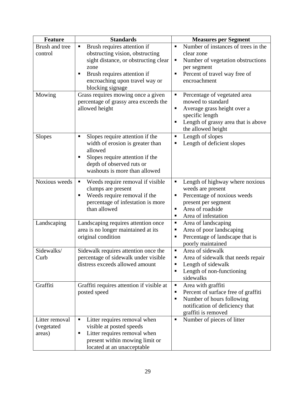| <b>Feature</b>                          | <b>Standards</b>                                                                                                                                                                | <b>Measures per Segment</b>                                                                                                                                           |
|-----------------------------------------|---------------------------------------------------------------------------------------------------------------------------------------------------------------------------------|-----------------------------------------------------------------------------------------------------------------------------------------------------------------------|
| Brush and tree<br>control               | Brush requires attention if<br>Ξ<br>obstructing vision, obstructing<br>sight distance, or obstructing clear<br>zone<br>Brush requires attention if                              | Number of instances of trees in the<br>$\blacksquare$<br>clear zone<br>Number of vegetation obstructions<br>п<br>per segment<br>Percent of travel way free of         |
|                                         | encroaching upon travel way or<br>blocking signage                                                                                                                              | encroachment                                                                                                                                                          |
| Mowing                                  | Grass requires mowing once a given<br>percentage of grassy area exceeds the<br>allowed height                                                                                   | Percentage of vegetated area<br>mowed to standard<br>Average grass height over a<br>٠<br>specific length<br>Length of grassy area that is above<br>the allowed height |
| <b>Slopes</b>                           | Slopes require attention if the<br>width of erosion is greater than<br>allowed<br>Slopes require attention if the<br>depth of observed ruts or<br>washouts is more than allowed | Length of slopes<br>Length of deficient slopes<br>п                                                                                                                   |
| Noxious weeds                           | Weeds require removal if visible<br>Е<br>clumps are present<br>Weeds require removal if the<br>percentage of infestation is more<br>than allowed                                | Length of highway where noxious<br>п<br>weeds are present<br>Percentage of noxious weeds<br>present per segment<br>Area of roadside<br>п<br>Area of infestation<br>٠  |
| Landscaping                             | Landscaping requires attention once<br>area is no longer maintained at its<br>original condition                                                                                | Area of landscaping<br>п<br>Area of poor landscaping<br>٠<br>Percentage of landscape that is<br>п<br>poorly maintained                                                |
| Sidewalks/<br>Curb                      | Sidewalk requires attention once the<br>percentage of sidewalk under visible<br>distress exceeds allowed amount                                                                 | Area of sidewalk<br>ш<br>Area of sidewalk that needs repair<br>Length of sidewalk<br>Length of non-functioning<br>٠<br>sidewalks                                      |
| Graffiti                                | Graffiti requires attention if visible at<br>posted speed                                                                                                                       | Area with graffiti<br>п<br>Percent of surface free of graffiti<br>٠<br>Number of hours following<br>п<br>notification of deficiency that<br>graffiti is removed       |
| Litter removal<br>(vegetated)<br>areas) | Litter requires removal when<br>٠<br>visible at posted speeds<br>Litter requires removal when<br>п<br>present within mowing limit or<br>located at an unacceptable              | Number of pieces of litter<br>$\blacksquare$                                                                                                                          |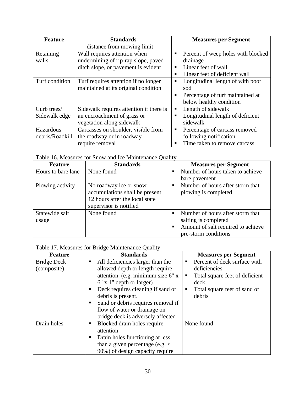<span id="page-36-0"></span>

| <b>Feature</b>               | <b>Standards</b>                                                                                           | <b>Measures per Segment</b>                                                                                           |
|------------------------------|------------------------------------------------------------------------------------------------------------|-----------------------------------------------------------------------------------------------------------------------|
|                              | distance from mowing limit                                                                                 |                                                                                                                       |
| Retaining<br>walls           | Wall requires attention when<br>undermining of rip-rap slope, paved<br>ditch slope, or pavement is evident | Percent of weep holes with blocked<br>п<br>drainage<br>Linear feet of wall<br>п<br>Linear feet of deficient wall<br>п |
| Turf condition               | Turf requires attention if no longer<br>maintained at its original condition                               | Longitudinal length of with poor<br>п<br>sod<br>Percentage of turf maintained at<br>п<br>below healthy condition      |
| Curb trees/<br>Sidewalk edge | Sidewalk requires attention if there is<br>an encroachment of grass or<br>vegetation along sidewalk        | Length of sidewalk<br>п<br>Longitudinal length of deficient<br>sidewalk                                               |
| Hazardous<br>debris/Roadkill | Carcasses on shoulder, visible from<br>the roadway or in roadway<br>require removal                        | Percentage of carcass removed<br>٠<br>following notification<br>Time taken to remove carcass                          |

Table 16. Measures for Snow and Ice Maintenance Quality

| <b>Feature</b>          | <b>Standards</b>                                                                                                     | <b>Measures per Segment</b>                                                                                            |
|-------------------------|----------------------------------------------------------------------------------------------------------------------|------------------------------------------------------------------------------------------------------------------------|
| Hours to bare lane      | None found                                                                                                           | Number of hours taken to achieve<br>bare pavement                                                                      |
| Plowing activity        | No roadway ice or snow<br>accumulations shall be present<br>12 hours after the local state<br>supervisor is notified | Number of hours after storm that<br>plowing is completed                                                               |
| Statewide salt<br>usage | None found                                                                                                           | Number of hours after storm that<br>salting is completed<br>Amount of salt required to achieve<br>pre-storm conditions |

#### Table 17. Measures for Bridge Maintenance Quality

| <b>Feature</b> | <b>Standards</b>                       | <b>Measures per Segment</b>    |
|----------------|----------------------------------------|--------------------------------|
| Bridge Deck    | All deficiencies larger than the<br>п. | Percent of deck surface with   |
| (composite)    | allowed depth or length require        | deficiencies                   |
|                | attention. (e.g. minimum size 6" x     | Total square feet of deficient |
|                | $6"$ x 1" depth or larger)             | deck                           |
|                | Deck requires cleaning if sand or      | Total square feet of sand or   |
|                | debris is present.                     | debris                         |
|                | Sand or debris requires removal if     |                                |
|                | flow of water or drainage on           |                                |
|                | bridge deck is adversely affected      |                                |
| Drain holes    | Blocked drain holes require            | None found                     |
|                | attention                              |                                |
|                | Drain holes functioning at less        |                                |
|                | than a given percentage (e.g. $\lt$    |                                |
|                | 90%) of design capacity require        |                                |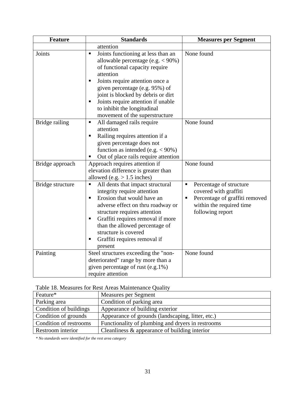<span id="page-37-0"></span>

| <b>Feature</b>   | <b>Standards</b>                                                                                                                                                                                                                                                                                                                                                       | <b>Measures per Segment</b>                                                                                                                                            |  |
|------------------|------------------------------------------------------------------------------------------------------------------------------------------------------------------------------------------------------------------------------------------------------------------------------------------------------------------------------------------------------------------------|------------------------------------------------------------------------------------------------------------------------------------------------------------------------|--|
|                  | attention                                                                                                                                                                                                                                                                                                                                                              |                                                                                                                                                                        |  |
| Joints           | Joints functioning at less than an<br>$\blacksquare$<br>allowable percentage (e.g. $<$ 90%)<br>of functional capacity require<br>attention<br>Joints require attention once a<br>٠<br>given percentage (e.g. 95%) of<br>joint is blocked by debris or dirt<br>Joints require attention if unable<br>٠<br>to inhibit the longitudinal<br>movement of the superstructure | None found                                                                                                                                                             |  |
| Bridge railing   | All damaged rails require<br>п<br>attention<br>Railing requires attention if a<br>п<br>given percentage does not<br>function as intended (e.g. $< 90\%$ )<br>Out of place rails require attention<br>Е                                                                                                                                                                 | None found                                                                                                                                                             |  |
| Bridge approach  | Approach requires attention if<br>elevation difference is greater than<br>allowed (e.g. $> 1.5$ inches)                                                                                                                                                                                                                                                                | None found                                                                                                                                                             |  |
| Bridge structure | All dents that impact structural<br>$\blacksquare$<br>integrity require attention<br>Erosion that would have an<br>٠<br>adverse effect on thru roadway or<br>structure requires attention<br>Graffiti requires removal if more<br>٠<br>than the allowed percentage of<br>structure is covered<br>Graffiti requires removal if<br>п<br>present                          | Percentage of structure<br>$\blacksquare$<br>covered with graffiti<br>Percentage of graffiti removed<br>$\blacksquare$<br>within the required time<br>following report |  |
| Painting         | Steel structures exceeding the "non-<br>deteriorated" range by more than a<br>given percentage of rust (e.g.1%)<br>require attention                                                                                                                                                                                                                                   | None found                                                                                                                                                             |  |

| Table 18. Measures for Rest Areas Maintenance Quality |  |  |  |
|-------------------------------------------------------|--|--|--|
|-------------------------------------------------------|--|--|--|

| Feature*               | Measures per Segment                              |
|------------------------|---------------------------------------------------|
| Parking area           | Condition of parking area                         |
| Condition of buildings | Appearance of building exterior                   |
| Condition of grounds   | Appearance of grounds (landscaping, litter, etc.) |
| Condition of restrooms | Functionality of plumbing and dryers in restrooms |
| Restroom interior      | Cleanliness $\&$ appearance of building interior  |

*\* No standards were identified for the rest area category*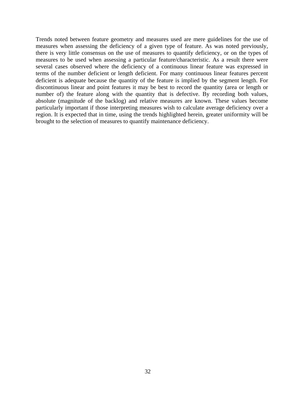Trends noted between feature geometry and measures used are mere guidelines for the use of measures when assessing the deficiency of a given type of feature. As was noted previously, there is very little consensus on the use of measures to quantify deficiency, or on the types of measures to be used when assessing a particular feature/characteristic. As a result there were several cases observed where the deficiency of a continuous linear feature was expressed in terms of the number deficient or length deficient. For many continuous linear features percent deficient is adequate because the quantity of the feature is implied by the segment length. For discontinuous linear and point features it may be best to record the quantity (area or length or number of) the feature along with the quantity that is defective. By recording both values, absolute (magnitude of the backlog) and relative measures are known. These values become particularly important if those interpreting measures wish to calculate average deficiency over a region. It is expected that in time, using the trends highlighted herein, greater uniformity will be brought to the selection of measures to quantify maintenance deficiency.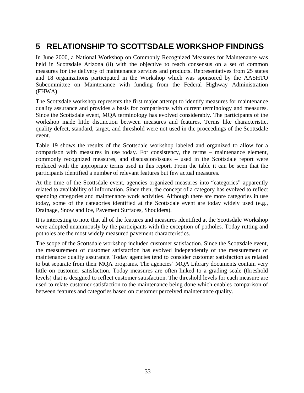## <span id="page-39-0"></span>**5 RELATIONSHIP TO SCOTTSDALE WORKSHOP FINDINGS**

In June 2000, a National Workshop on Commonly Recognized Measures for Maintenance was held in Scottsdale Arizona (8) with the objective to reach consensus on a set of common measures for the delivery of maintenance services and products. Representatives from 25 states and 18 organizations participated in the Workshop which was sponsored by the AASHTO Subcommittee on Maintenance with funding from the Federal Highway Administration (FHWA).

The Scottsdale workshop represents the first major attempt to identify measures for maintenance quality assurance and provides a basis for comparisons with current terminology and measures. Since the Scottsdale event, MQA terminology has evolved considerably. The participants of the workshop made little distinction between measures and features. Terms like characteristic, quality defect, standard, target, and threshold were not used in the proceedings of the Scottsdale event.

Table 19 shows the results of the Scottsdale workshop labeled and organized to allow for a comparison with measures in use today. For consistency, the terms – maintenance element, commonly recognized measures, and discussion/issues – used in the Scottsdale report were replaced with the appropriate terms used in this report. From the table it can be seen that the participants identified a number of relevant features but few actual measures.

At the time of the Scottsdale event, agencies organized measures into "categories" apparently related to availability of information. Since then, the concept of a category has evolved to reflect spending categories and maintenance work activities. Although there are more categories in use today, some of the categories identified at the Scottsdale event are today widely used (e.g., Drainage, Snow and Ice, Pavement Surfaces, Shoulders).

It is interesting to note that all of the features and measures identified at the Scottsdale Workshop were adopted unanimously by the participants with the exception of potholes. Today rutting and potholes are the most widely measured pavement characteristics.

The scope of the Scottsdale workshop included customer satisfaction. Since the Scottsdale event, the measurement of customer satisfaction has evolved independently of the measurement of maintenance quality assurance. Today agencies tend to consider customer satisfaction as related to but separate from their MQA programs. The agencies' MQA Library documents contain very little on customer satisfaction. Today measures are often linked to a grading scale (threshold levels) that is designed to reflect customer satisfaction. The threshold levels for each measure are used to relate customer satisfaction to the maintenance being done which enables comparison of between features and categories based on customer perceived maintenance quality.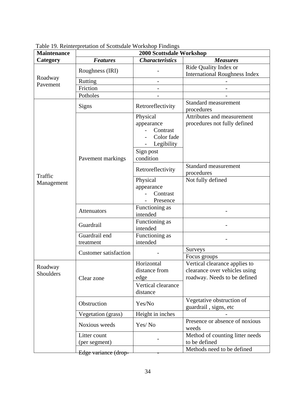| <b>Maintenance</b>    | 2000 Scottsdale Workshop      |                                                                             |                                                                                                |
|-----------------------|-------------------------------|-----------------------------------------------------------------------------|------------------------------------------------------------------------------------------------|
| Category              | <b>Features</b>               | <b>Characteristics</b>                                                      | <b>Measures</b>                                                                                |
|                       | Roughness (IRI)               |                                                                             | Ride Quality Index or                                                                          |
| Roadway               |                               |                                                                             | <b>International Roughness Index</b>                                                           |
| Pavement              | Rutting                       |                                                                             |                                                                                                |
|                       | Friction                      |                                                                             |                                                                                                |
|                       | Potholes                      |                                                                             |                                                                                                |
|                       | <b>Signs</b>                  | Retroreflectivity                                                           | Standard measurement<br>procedures                                                             |
|                       |                               | Physical<br>appearance<br>Contrast<br>Color fade<br>Legibility<br>Sign post | Attributes and measurement<br>procedures not fully defined                                     |
|                       | Pavement markings             | condition                                                                   |                                                                                                |
| Traffic<br>Management |                               | Retroreflectivity                                                           | Standard measurement<br>procedures                                                             |
|                       |                               | Physical<br>appearance<br>Contrast<br>Presence                              | Not fully defined                                                                              |
|                       | Attenuators                   | Functioning as<br>intended                                                  |                                                                                                |
|                       | Guardrail                     | Functioning as<br>intended                                                  |                                                                                                |
|                       | Guardrail end<br>treatment    | Functioning as<br>intended                                                  |                                                                                                |
|                       |                               |                                                                             | <b>Surveys</b>                                                                                 |
|                       | <b>Customer satisfaction</b>  |                                                                             | Focus groups                                                                                   |
| Roadway<br>Shoulders  | Clear zone                    | Horizontal<br>distance from<br>edge<br>Vertical clearance                   | Vertical clearance applies to<br>clearance over vehicles using<br>roadway. Needs to be defined |
|                       |                               | distance                                                                    |                                                                                                |
|                       | Obstruction                   | Yes/No                                                                      | Vegetative obstruction of<br>guardrail, signs, etc                                             |
|                       | Vegetation (grass)            | Height in inches                                                            |                                                                                                |
|                       | Noxious weeds                 | Yes/No                                                                      | Presence or absence of noxious<br>weeds                                                        |
|                       | Litter count<br>(per segment) |                                                                             | Method of counting litter needs<br>to be defined                                               |
|                       | Edge variance (drop-          |                                                                             | Methods need to be defined                                                                     |

<span id="page-40-0"></span>Table 19. Reinterpretation of Scottsdale Workshop Findings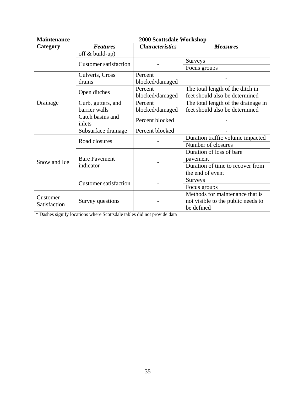| <b>Maintenance</b>       | 2000 Scottsdale Workshop          |                        |                                     |
|--------------------------|-----------------------------------|------------------------|-------------------------------------|
| Category                 | <b>Features</b>                   | <b>Characteristics</b> | <b>Measures</b>                     |
|                          | off $& build-up)$                 |                        |                                     |
|                          | <b>Customer satisfaction</b>      |                        | <b>Surveys</b>                      |
|                          |                                   |                        | Focus groups                        |
|                          | Culverts, Cross                   | Percent                |                                     |
|                          | drains                            | blocked/damaged        |                                     |
|                          |                                   | Percent                | The total length of the ditch in    |
|                          | Open ditches                      | blocked/damaged        | feet should also be determined      |
| Drainage                 | Curb, gutters, and                | Percent                | The total length of the drainage in |
|                          | barrier walls                     | blocked/damaged        | feet should also be determined      |
|                          | Catch basins and<br>inlets        | Percent blocked        |                                     |
|                          | Subsurface drainage               | Percent blocked        |                                     |
|                          | Road closures                     |                        | Duration traffic volume impacted    |
| Snow and Ice             |                                   |                        | Number of closures                  |
|                          | <b>Bare Pavement</b><br>indicator |                        | Duration of loss of bare            |
|                          |                                   |                        | pavement                            |
|                          |                                   |                        | Duration of time to recover from    |
|                          |                                   |                        | the end of event                    |
|                          | <b>Customer satisfaction</b>      |                        | Surveys                             |
|                          |                                   |                        | Focus groups                        |
| Customer<br>Satisfaction |                                   |                        | Methods for maintenance that is     |
|                          | Survey questions                  |                        | not visible to the public needs to  |
|                          |                                   |                        | be defined                          |

\* Dashes signify locations where Scottsdale tables did not provide data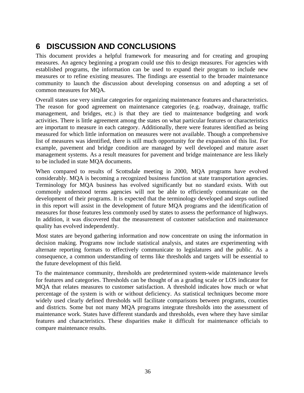## <span id="page-42-0"></span>**6 DISCUSSION AND CONCLUSIONS**

This document provides a helpful framework for measuring and for creating and grouping measures. An agency beginning a program could use this to design measures. For agencies with established programs, the information can be used to expand their program to include new measures or to refine existing measures. The findings are essential to the broader maintenance community to launch the discussion about developing consensus on and adopting a set of common measures for MQA.

Overall states use very similar categories for organizing maintenance features and characteristics. The reason for good agreement on maintenance categories (e.g. roadway, drainage, traffic management, and bridges, etc.) is that they are tied to maintenance budgeting and work activities. There is little agreement among the states on what particular features or characteristics are important to measure in each category. Additionally, there were features identified as being measured for which little information on measures were not available. Though a comprehensive list of measures was identified, there is still much opportunity for the expansion of this list. For example, pavement and bridge condition are managed by well developed and mature asset management systems. As a result measures for pavement and bridge maintenance are less likely to be included in state MQA documents.

When compared to results of Scottsdale meeting in 2000, MQA programs have evolved considerably. MQA is becoming a recognized business function at state transportation agencies. Terminology for MQA business has evolved significantly but no standard exists. With out commonly understood terms agencies will not be able to efficiently communicate on the development of their programs. It is expected that the terminology developed and steps outlined in this report will assist in the development of future MQA programs and the identification of measures for those features less commonly used by states to assess the performance of highways. In addition, it was discovered that the measurement of customer satisfaction and maintenance quality has evolved independently.

Most states are beyond gathering information and now concentrate on using the information in decision making. Programs now include statistical analysis, and states are experimenting with alternate reporting formats to effectively communicate to legislatures and the public. As a consequence, a common understanding of terms like thresholds and targets will be essential to the future development of this field.

To the maintenance community, thresholds are predetermined system-wide maintenance levels for features and categories. Thresholds can be thought of as a grading scale or LOS indicator for MQA that relates measures to customer satisfaction. A threshold indicates how much or what percentage of the system is with or without deficiency. As statistical techniques become more widely used clearly defined thresholds will facilitate comparisons between programs, counties and districts. Some but not many MQA programs integrate thresholds into the assessment of maintenance work. States have different standards and thresholds, even where they have similar features and characteristics. These disparities make it difficult for maintenance officials to compare maintenance results.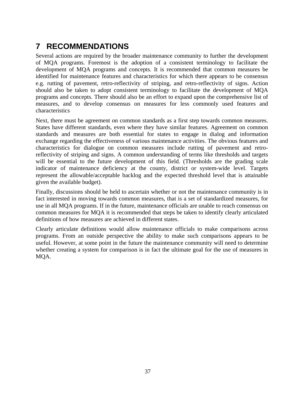## <span id="page-43-0"></span>**7 RECOMMENDATIONS**

Several actions are required by the broader maintenance community to further the development of MQA programs. Foremost is the adoption of a consistent terminology to facilitate the development of MQA programs and concepts. It is recommended that common measures be identified for maintenance features and characteristics for which there appears to be consensus e.g. rutting of pavement, retro-reflectivity of striping, and retro-reflectivity of signs. Action should also be taken to adopt consistent terminology to facilitate the development of MQA programs and concepts. There should also be an effort to expand upon the comprehensive list of measures, and to develop consensus on measures for less commonly used features and characteristics

Next, there must be agreement on common standards as a first step towards common measures. States have different standards, even where they have similar features. Agreement on common standards and measures are both essential for states to engage in dialog and information exchange regarding the effectiveness of various maintenance activities. The obvious features and characteristics for dialogue on common measures include rutting of pavement and retroreflectivity of striping and signs. A common understanding of terms like thresholds and targets will be essential to the future development of this field. (Thresholds are the grading scale indicator of maintenance deficiency at the county, district or system-wide level. Targets represent the allowable/acceptable backlog and the expected threshold level that is attainable given the available budget).

Finally, discussions should be held to ascertain whether or not the maintenance community is in fact interested in moving towards common measures, that is a set of standardized measures, for use in all MQA programs. If in the future, maintenance officials are unable to reach consensus on common measures for MQA it is recommended that steps be taken to identify clearly articulated definitions of how measures are achieved in different states.

Clearly articulate definitions would allow maintenance officials to make comparisons across programs. From an outside perspective the ability to make such comparisons appears to be useful. However, at some point in the future the maintenance community will need to determine whether creating a system for comparison is in fact the ultimate goal for the use of measures in MQA.